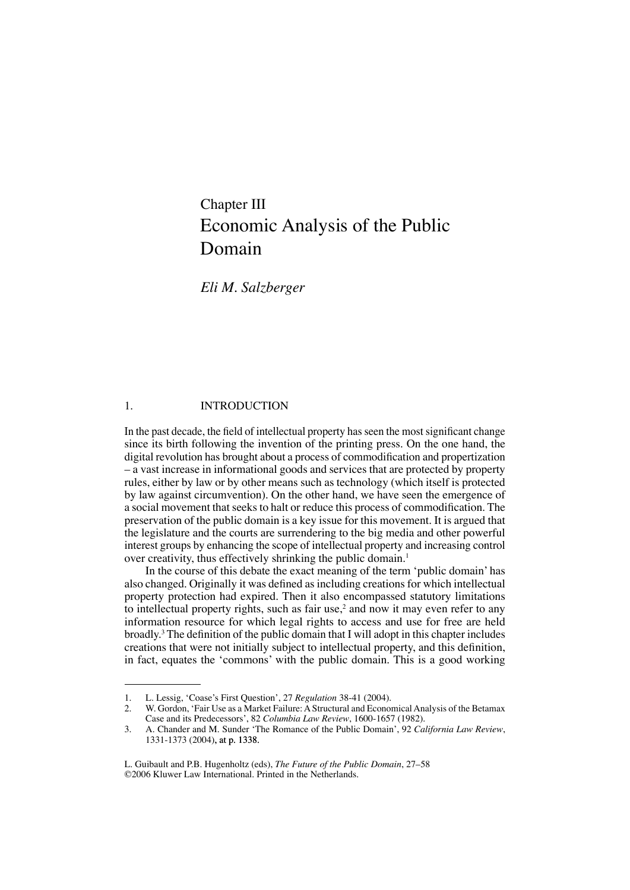# Chapter III Economic Analysis of the Public Domain

*Eli M. Salzberger*

#### 1. **INTRODUCTION**

In the past decade, the field of intellectual property has seen the most significant change since its birth following the invention of the printing press. On the one hand, the digital revolution has brought about a process of commodification and propertization – a vast increase in informational goods and services that are protected by property rules, either by law or by other means such as technology (which itself is protected by law against circumvention). On the other hand, we have seen the emergence of a social movement that seeks to halt or reduce this process of commodification. The preservation of the public domain is a key issue for this movement. It is argued that the legislature and the courts are surrendering to the big media and other powerful interest groups by enhancing the scope of intellectual property and increasing control over creativity, thus effectively shrinking the public domain.<sup>1</sup>

In the course of this debate the exact meaning of the term 'public domain' has also changed. Originally it was defined as including creations for which intellectual property protection had expired. Then it also encompassed statutory limitations to intellectual property rights, such as fair use,<sup>2</sup> and now it may even refer to any information resource for which legal rights to access and use for free are held broadly.3 The definition of the public domain that I will adopt in this chapter includes creations that were not initially subject to intellectual property, and this definition, in fact, equates the 'commons' with the public domain. This is a good working

<sup>.</sup> L. Lessig, 'Coase's First Question', 27 *Regulation* 38-41 (2004).

<sup>2.</sup> W. Gordon, 'Fair Use as a Market Failure: A Structural and Economical Analysis of the Betamax Case and its Predecessors', 82 *Columbia Law Review*, 1600-1657 (1982).

<sup>.</sup> A. Chander and M. Sunder 'The Romance of the Public Domain', 92 *California Law Review*, 1331-1373 (2004), at p. 1338.

L. Guibault and P.B. Hugenholtz (eds), *The Future of the Public Domain*, 27–58 ©2006 Kluwer Law International. Printed in the Netherlands.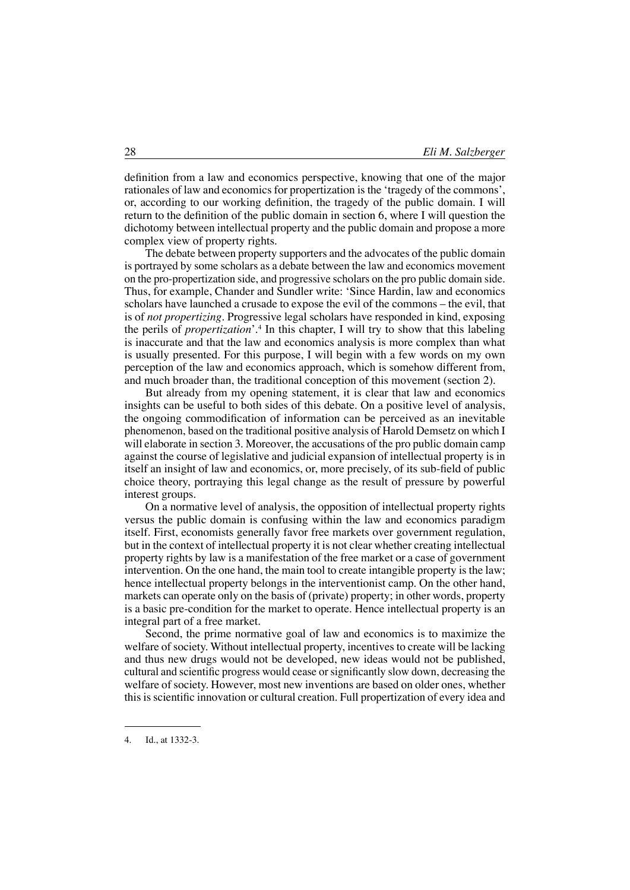definition from a law and economics perspective, knowing that one of the major rationales of law and economics for propertization is the 'tragedy of the commons', or, according to our working definition, the tragedy of the public domain. I will return to the definition of the public domain in section 6, where I will question the dichotomy between intellectual property and the public domain and propose a more complex view of property rights.

The debate between property supporters and the advocates of the public domain is portrayed by some scholars as a debate between the law and economics movement on the pro-propertization side, and progressive scholars on the pro public domain side. Thus, for example, Chander and Sundler write: 'Since Hardin, law and economics scholars have launched a crusade to expose the evil of the commons – the evil, that is of *not propertizing*. Progressive legal scholars have responded in kind, exposing the perils of *propertization*'.4 In this chapter, I will try to show that this labeling is inaccurate and that the law and economics analysis is more complex than what is usually presented. For this purpose, I will begin with a few words on my own perception of the law and economics approach, which is somehow different from, and much broader than, the traditional conception of this movement (section 2).

But already from my opening statement, it is clear that law and economics insights can be useful to both sides of this debate. On a positive level of analysis, the ongoing commodification of information can be perceived as an inevitable phenomenon, based on the traditional positive analysis of Harold Demsetz on which I will elaborate in section 3. Moreover, the accusations of the pro public domain camp against the course of legislative and judicial expansion of intellectual property is in itself an insight of law and economics, or, more precisely, of its sub-field of public choice theory, portraying this legal change as the result of pressure by powerful interest groups.

On a normative level of analysis, the opposition of intellectual property rights versus the public domain is confusing within the law and economics paradigm itself. First, economists generally favor free markets over government regulation, but in the context of intellectual property it is not clear whether creating intellectual property rights by law is a manifestation of the free market or a case of government intervention. On the one hand, the main tool to create intangible property is the law; hence intellectual property belongs in the interventionist camp. On the other hand, markets can operate only on the basis of (private) property; in other words, property is a basic pre-condition for the market to operate. Hence intellectual property is an integral part of a free market.

Second, the prime normative goal of law and economics is to maximize the welfare of society. Without intellectual property, incentives to create will be lacking and thus new drugs would not be developed, new ideas would not be published, cultural and scientific progress would cease or significantly slow down, decreasing the welfare of society. However, most new inventions are based on older ones, whether this is scientific innovation or cultural creation. Full propertization of every idea and

<sup>4.</sup> Id., at 1332-3.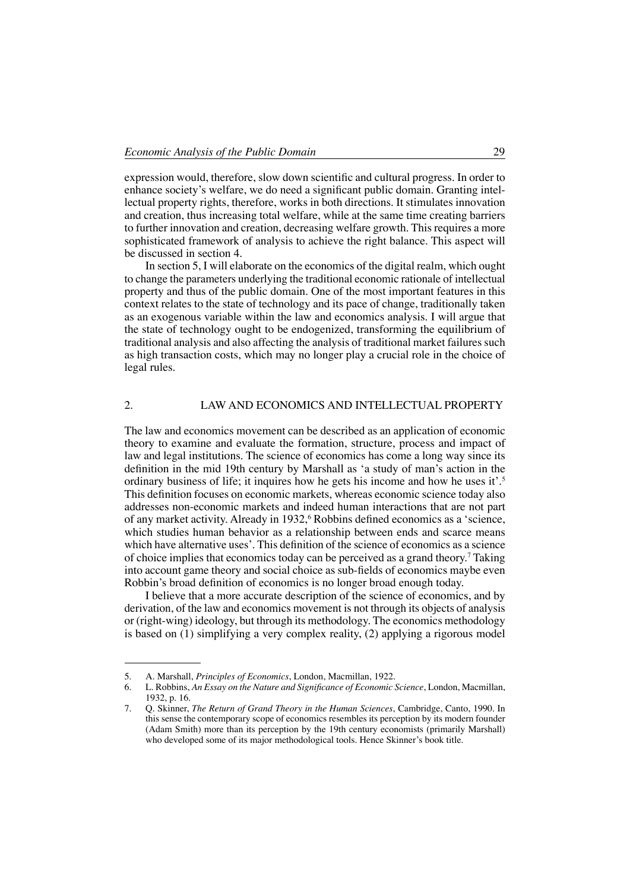expression would, therefore, slow down scientific and cultural progress. In order to enhance society's welfare, we do need a significant public domain. Granting intellectual property rights, therefore, works in both directions. It stimulates innovation and creation, thus increasing total welfare, while at the same time creating barriers to further innovation and creation, decreasing welfare growth. This requires a more sophisticated framework of analysis to achieve the right balance. This aspect will be discussed in section 4.

In section 5, I will elaborate on the economics of the digital realm, which ought to change the parameters underlying the traditional economic rationale of intellectual property and thus of the public domain. One of the most important features in this context relates to the state of technology and its pace of change, traditionally taken as an exogenous variable within the law and economics analysis. I will argue that the state of technology ought to be endogenized, transforming the equilibrium of traditional analysis and also affecting the analysis of traditional market failures such as high transaction costs, which may no longer play a crucial role in the choice of legal rules.

### 2. Law and Economics and Intellectual Property

The law and economics movement can be described as an application of economic theory to examine and evaluate the formation, structure, process and impact of law and legal institutions. The science of economics has come a long way since its definition in the mid 19th century by Marshall as 'a study of man's action in the ordinary business of life; it inquires how he gets his income and how he uses it'.<sup>5</sup> This definition focuses on economic markets, whereas economic science today also addresses non-economic markets and indeed human interactions that are not part of any market activity. Already in 1932,<sup>6</sup> Robbins defined economics as a 'science, which studies human behavior as a relationship between ends and scarce means which have alternative uses'. This definition of the science of economics as a science of choice implies that economics today can be perceived as a grand theory.<sup>7</sup> Taking into account game theory and social choice as sub-fields of economics maybe even Robbin's broad definition of economics is no longer broad enough today.

I believe that a more accurate description of the science of economics, and by derivation, of the law and economics movement is not through its objects of analysis or (right-wing) ideology, but through its methodology. The economics methodology is based on  $(1)$  simplifying a very complex reality,  $(2)$  applying a rigorous model

<sup>5.</sup> A. Marshall, *Principles of Economics*, London, Macmillan, 1922.

<sup>.</sup> L. Robbins, *An Essay on the Nature and Significance of Economic Science*, London, Macmillan, 1932, p. 16.

<sup>.</sup> Q. Skinner, *The Return of Grand Theory in the Human Sciences*, Cambridge, Canto, 1990. In this sense the contemporary scope of economics resembles its perception by its modern founder (Adam Smith) more than its perception by the 19th century economists (primarily Marshall) who developed some of its major methodological tools. Hence Skinner's book title.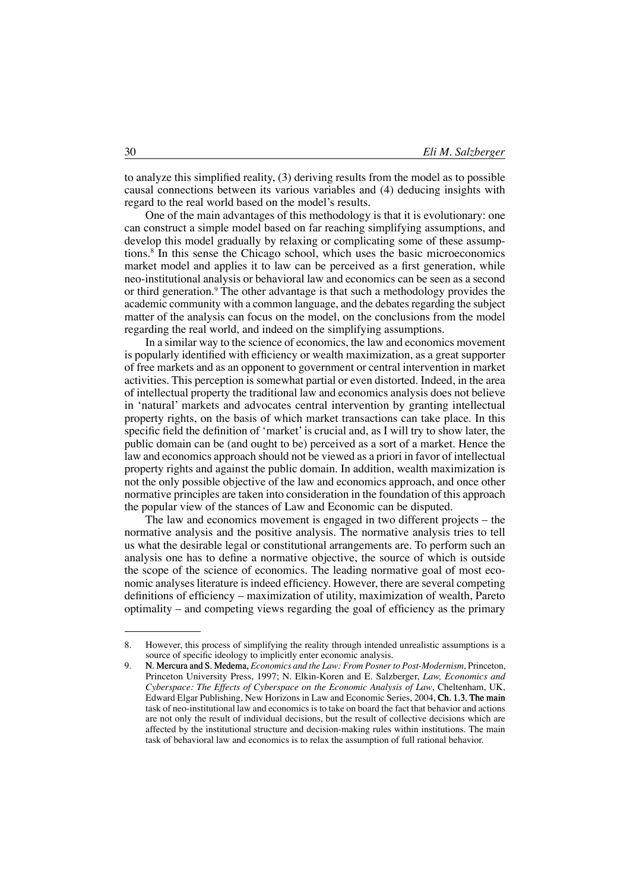to analyze this simplified reality, (3) deriving results from the model as to possible causal connections between its various variables and (4) deducing insights with regard to the real world based on the model's results.

One of the main advantages of this methodology is that it is evolutionary: one can construct a simple model based on far reaching simplifying assumptions, and develop this model gradually by relaxing or complicating some of these assumptions.8 In this sense the Chicago school, which uses the basic microeconomics market model and applies it to law can be perceived as a first generation, while neo-institutional analysis or behavioral law and economics can be seen as a second or third generation.<sup>9</sup> The other advantage is that such a methodology provides the academic community with a common language, and the debates regarding the subject matter of the analysis can focus on the model, on the conclusions from the model regarding the real world, and indeed on the simplifying assumptions.

In a similar way to the science of economics, the law and economics movement is popularly identified with efficiency or wealth maximization, as a great supporter of free markets and as an opponent to government or central intervention in market activities. This perception is somewhat partial or even distorted. Indeed, in the area of intellectual property the traditional law and economics analysis does not believe in 'natural' markets and advocates central intervention by granting intellectual property rights, on the basis of which market transactions can take place. In this specific field the definition of 'market'is crucial and, as I will try to show later, the public domain can be (and ought to be) perceived as a sort of a market. Hence the law and economics approach should not be viewed as a priori in favor of intellectual property rights and against the public domain. In addition, wealth maximization is not the only possible objective of the law and economics approach, and once other normative principles are taken into consideration in the foundation of this approach the popular view of the stances of Law and Economic can be disputed.

The law and economics movement is engaged in two different projects – the normative analysis and the positive analysis. The normative analysis tries to tell us what the desirable legal or constitutional arrangements are. To perform such an analysis one has to define a normative objective, the source of which is outside the scope of the science of economics. The leading normative goal of most economic analyses literature is indeed efficiency. However, there are several competing definitions of efficiency – maximization of utility, maximization of wealth, Pareto optimality – and competing views regarding the goal of efficiency as the primary

<sup>.</sup> However, this process of simplifying the reality through intended unrealistic assumptions is a source of specific ideology to implicitly enter economic analysis.

<sup>9.</sup> N. Mercura and S. Medema, *Economics and the Law: From Posner to Post-Modernism*, Princeton, Princeton University Press, 1997; N. Elkin-Koren and E. Salzberger, *Law, Economics and Cyberspace: The Effects of Cyberspace on the Economic Analysis of Law*, Cheltenham, UK, Edward Elgar Publishing, New Horizons in Law and Economic Series, 2004 Ch. 1.3. The main task of neo-institutional law and economics is to take on board the fact that behavior and actions are not only the result of individual decisions, but the result of collective decisions which are affected by the institutional structure and decision-making rules within institutions. The main task of behavioral law and economics is to relax the assumption of full rational behavior.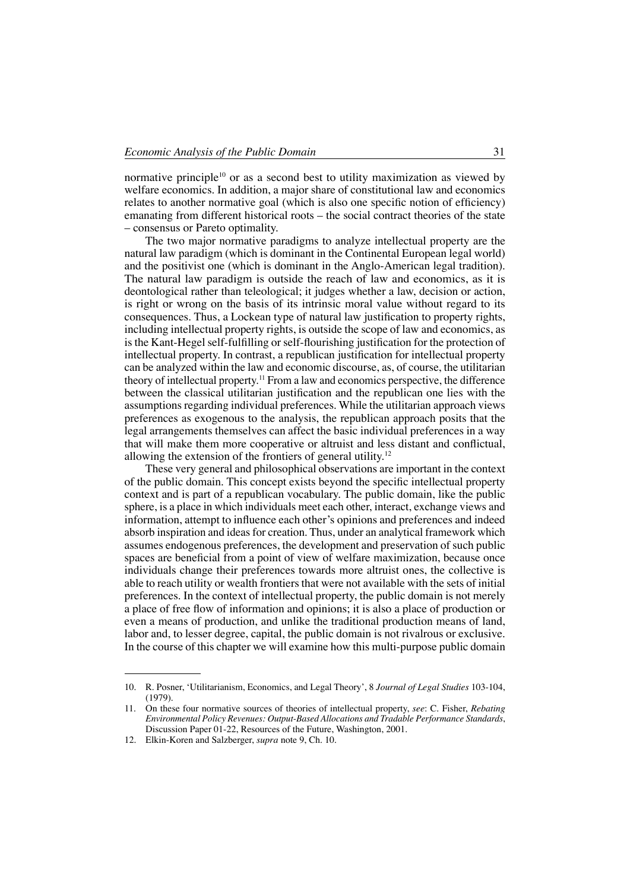normative principle<sup>10</sup> or as a second best to utility maximization as viewed by welfare economics. In addition, a major share of constitutional law and economics relates to another normative goal (which is also one specific notion of efficiency) emanating from different historical roots – the social contract theories of the state – consensus or Pareto optimality.

The two major normative paradigms to analyze intellectual property are the natural law paradigm (which is dominant in the Continental European legal world) and the positivist one (which is dominant in the Anglo-American legal tradition). The natural law paradigm is outside the reach of law and economics, as it is deontological rather than teleological; it judges whether a law, decision or action, is right or wrong on the basis of its intrinsic moral value without regard to its consequences. Thus, a Lockean type of natural law justification to property rights, including intellectual property rights, is outside the scope of law and economics, as is the Kant-Hegel self-fulfilling or self-flourishing justification for the protection of intellectual property. In contrast, a republican justification for intellectual property can be analyzed within the law and economic discourse, as, of course, the utilitarian theory of intellectual property.11 From a law and economics perspective, the difference between the classical utilitarian justification and the republican one lies with the assumptions regarding individual preferences. While the utilitarian approach views preferences as exogenous to the analysis, the republican approach posits that the legal arrangements themselves can affect the basic individual preferences in a way that will make them more cooperative or altruist and less distant and conflictual, allowing the extension of the frontiers of general utility.12

These very general and philosophical observations are important in the context of the public domain. This concept exists beyond the specific intellectual property context and is part of a republican vocabulary. The public domain, like the public sphere, is a place in which individuals meet each other, interact, exchange views and information, attempt to influence each other's opinions and preferences and indeed absorb inspiration and ideas for creation. Thus, under an analytical framework which assumes endogenous preferences, the development and preservation of such public spaces are beneficial from a point of view of welfare maximization, because once individuals change their preferences towards more altruist ones, the collective is able to reach utility or wealth frontiers that were not available with the sets of initial preferences. In the context of intellectual property, the public domain is not merely a place of free flow of information and opinions; it is also a place of production or even a means of production, and unlike the traditional production means of land, labor and, to lesser degree, capital, the public domain is not rivalrous or exclusive. In the course of this chapter we will examine how this multi-purpose public domain

<sup>10.</sup> R. Posner, 'Utilitarianism, Economics, and Legal Theory', 8 *Journal of Legal Studies* 103-104, (1979).

<sup>11.</sup> On these four normative sources of theories of intellectual property, *see*: C. Fisher, *Rebating Environmental Policy Revenues: Output-Based Allocations and Tradable Performance Standards*, Discussion Paper 01-22, Resources of the Future, Washington, 2001.

<sup>12.</sup> Elkin-Koren and Salzberger, *supra* note 9, Ch. 10.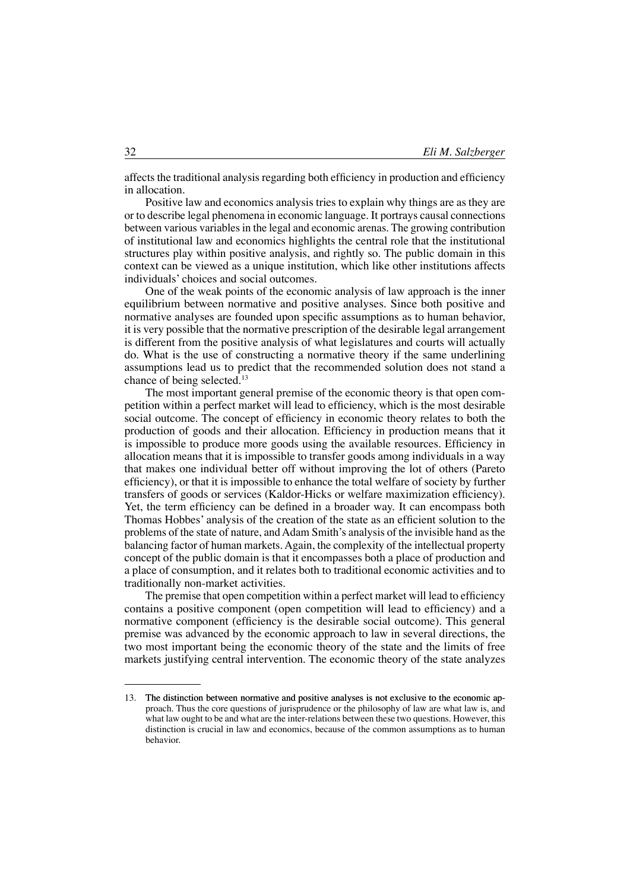affects the traditional analysis regarding both efficiency in production and efficiency in allocation.

Positive law and economics analysis tries to explain why things are as they are or to describe legal phenomena in economic language. It portrays causal connections between various variables in the legal and economic arenas. The growing contribution of institutional law and economics highlights the central role that the institutional structures play within positive analysis, and rightly so. The public domain in this context can be viewed as a unique institution, which like other institutions affects individuals' choices and social outcomes.

One of the weak points of the economic analysis of law approach is the inner equilibrium between normative and positive analyses. Since both positive and normative analyses are founded upon specific assumptions as to human behavior, it is very possible that the normative prescription of the desirable legal arrangement is different from the positive analysis of what legislatures and courts will actually do. What is the use of constructing a normative theory if the same underlining assumptions lead us to predict that the recommended solution does not stand a chance of being selected.<sup>13</sup>

The most important general premise of the economic theory is that open competition within a perfect market will lead to efficiency, which is the most desirable social outcome. The concept of efficiency in economic theory relates to both the production of goods and their allocation. Efficiency in production means that it is impossible to produce more goods using the available resources. Efficiency in allocation means that it is impossible to transfer goods among individuals in a way that makes one individual better off without improving the lot of others (Pareto efficiency), or that it is impossible to enhance the total welfare of society by further transfers of goods or services (Kaldor-Hicks or welfare maximization efficiency). Yet, the term efficiency can be defined in a broader way. It can encompass both Thomas Hobbes' analysis of the creation of the state as an efficient solution to the problems of the state of nature, andAdam Smith's analysis of the invisible hand as the balancing factor of human markets.Again, the complexity of the intellectual property concept of the public domain is that it encompasses both a place of production and a place of consumption, and it relates both to traditional economic activities and to traditionally non-market activities.

The premise that open competition within a perfect market will lead to efficiency contains a positive component (open competition will lead to efficiency) and a normative component (efficiency is the desirable social outcome). This general premise was advanced by the economic approach to law in several directions, the two most important being the economic theory of the state and the limits of free markets justifying central intervention. The economic theory of the state analyzes

<sup>13.</sup> The distinction between normative and positive analyses is not exclusive to the economic ap- The distinction between normative and positive analyses is not exclusive to the economic approach. Thus the core questions of jurisprudence or the philosophy of law are what law is, and what law ought to be and what are the inter-relations between these two questions. However, this distinction is crucial in law and economics, because of the common assumptions as to human behavior.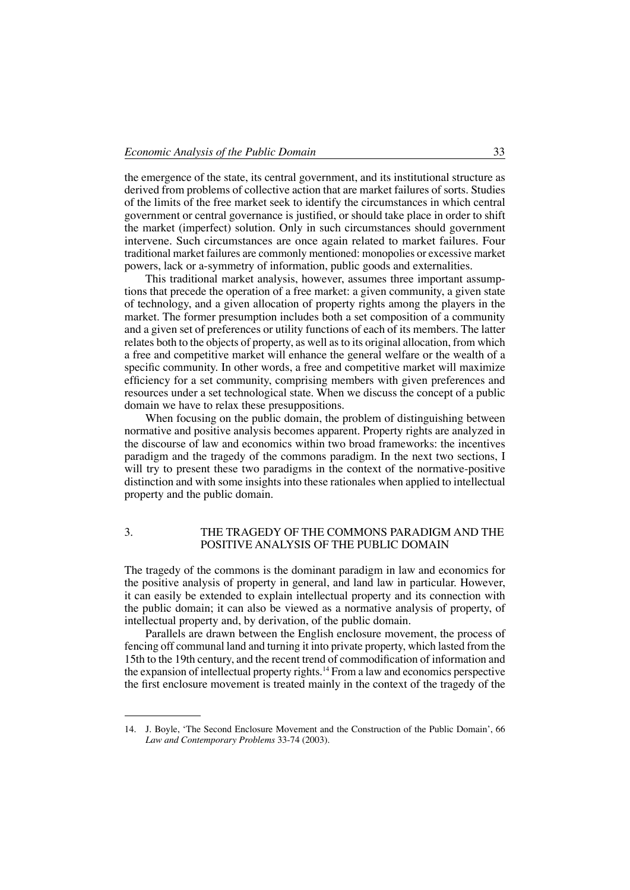the emergence of the state, its central government, and its institutional structure as derived from problems of collective action that are market failures of sorts. Studies of the limits of the free market seek to identify the circumstances in which central government or central governance is justified, or should take place in order to shift the market (imperfect) solution. Only in such circumstances should government intervene. Such circumstances are once again related to market failures. Four traditional market failures are commonly mentioned: monopolies or excessive market powers, lack or a-symmetry of information, public goods and externalities.

This traditional market analysis, however, assumes three important assumptions that precede the operation of a free market: a given community, a given state of technology, and a given allocation of property rights among the players in the market. The former presumption includes both a set composition of a community and a given set of preferences or utility functions of each of its members. The latter relates both to the objects of property, as well as to its original allocation, from which a free and competitive market will enhance the general welfare or the wealth of a specific community. In other words, a free and competitive market will maximize efficiency for a set community, comprising members with given preferences and resources under a set technological state. When we discuss the concept of a public domain we have to relax these presuppositions.

When focusing on the public domain, the problem of distinguishing between normative and positive analysis becomes apparent. Property rights are analyzed in the discourse of law and economics within two broad frameworks: the incentives paradigm and the tragedy of the commons paradigm. In the next two sections, I will try to present these two paradigms in the context of the normative-positive distinction and with some insights into these rationales when applied to intellectual property and the public domain.

#### 3. The Tragedy of the Commons Paradigm and the Positive Analysis of the Public Domain

The tragedy of the commons is the dominant paradigm in law and economics for the positive analysis of property in general, and land law in particular. However, it can easily be extended to explain intellectual property and its connection with the public domain; it can also be viewed as a normative analysis of property, of intellectual property and, by derivation, of the public domain.

Parallels are drawn between the English enclosure movement, the process of fencing off communal land and turning it into private property, which lasted from the 15th to the 19th century, and the recent trend of commodification of information and the expansion of intellectual property rights.14 From a law and economics perspective the first enclosure movement is treated mainly in the context of the tragedy of the

<sup>14.</sup> J. Boyle, 'The Second Enclosure Movement and the Construction of the Public Domain', 66 *Law and Contemporary Problems* 33-74 (2003).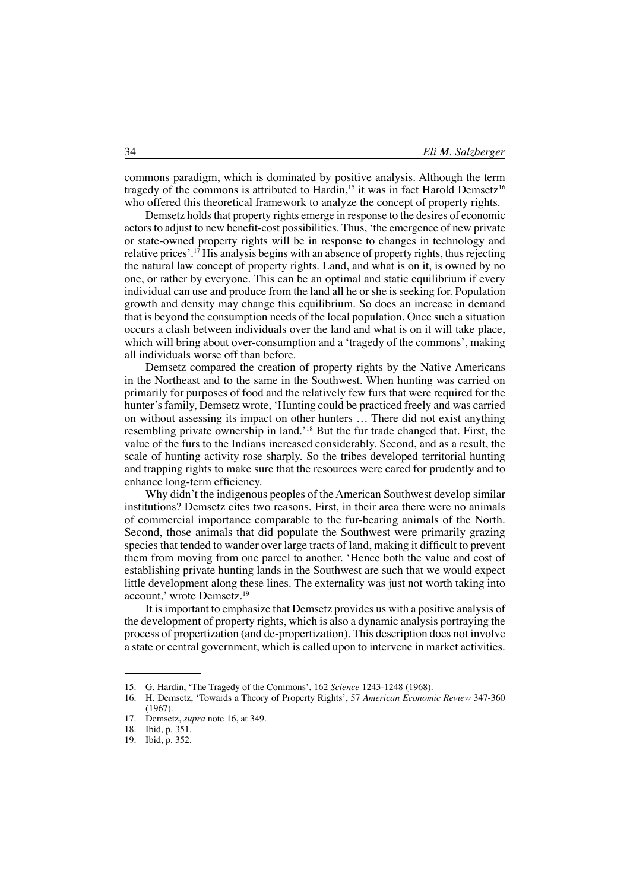commons paradigm, which is dominated by positive analysis. Although the term tragedy of the commons is attributed to Hardin,<sup>15</sup> it was in fact Harold Demsetz<sup>16</sup> who offered this theoretical framework to analyze the concept of property rights.

Demsetz holds that property rights emerge in response to the desires of economic actors to adjust to new benefit-cost possibilities. Thus, 'the emergence of new private or state-owned property rights will be in response to changes in technology and relative prices'.17 His analysis begins with an absence of property rights, thus rejecting the natural law concept of property rights. Land, and what is on it, is owned by no one, or rather by everyone. This can be an optimal and static equilibrium if every individual can use and produce from the land all he or she is seeking for. Population growth and density may change this equilibrium. So does an increase in demand that is beyond the consumption needs of the local population. Once such a situation occurs a clash between individuals over the land and what is on it will take place, which will bring about over-consumption and a 'tragedy of the commons', making all individuals worse off than before.

Demsetz compared the creation of property rights by the Native Americans in the Northeast and to the same in the Southwest. When hunting was carried on primarily for purposes of food and the relatively few furs that were required for the hunter's family, Demsetz wrote, 'Hunting could be practiced freely and was carried on without assessing its impact on other hunters … There did not exist anything resembling private ownership in land.'18 But the fur trade changed that. First, the value of the furs to the Indians increased considerably. Second, and as a result, the scale of hunting activity rose sharply. So the tribes developed territorial hunting and trapping rights to make sure that the resources were cared for prudently and to enhance long-term efficiency.

Why didn't the indigenous peoples of the American Southwest develop similar institutions? Demsetz cites two reasons. First, in their area there were no animals of commercial importance comparable to the fur-bearing animals of the North. Second, those animals that did populate the Southwest were primarily grazing species that tended to wander over large tracts of land, making it difficult to prevent them from moving from one parcel to another. 'Hence both the value and cost of establishing private hunting lands in the Southwest are such that we would expect little development along these lines. The externality was just not worth taking into account,' wrote Demsetz.<sup>19</sup>

It is important to emphasize that Demsetz provides us with a positive analysis of the development of property rights, which is also a dynamic analysis portraying the process of propertization (and de-propertization). This description does not involve a state or central government, which is called upon to intervene in market activities.

<sup>15.</sup> G. Hardin, 'The Tragedy of the Commons', 162 *Science* 1243-1248 (1968).

<sup>16.</sup> H. Demsetz, 'Towards a Theory of Property Rights', 57 *American Economic Review* 347-360 (1967).

<sup>17.</sup> Demsetz, *supra* note 16, at 349.<br>18. Ibid. p. 351.

Ibid, p. 351.

<sup>19.</sup> ibid, p. 352.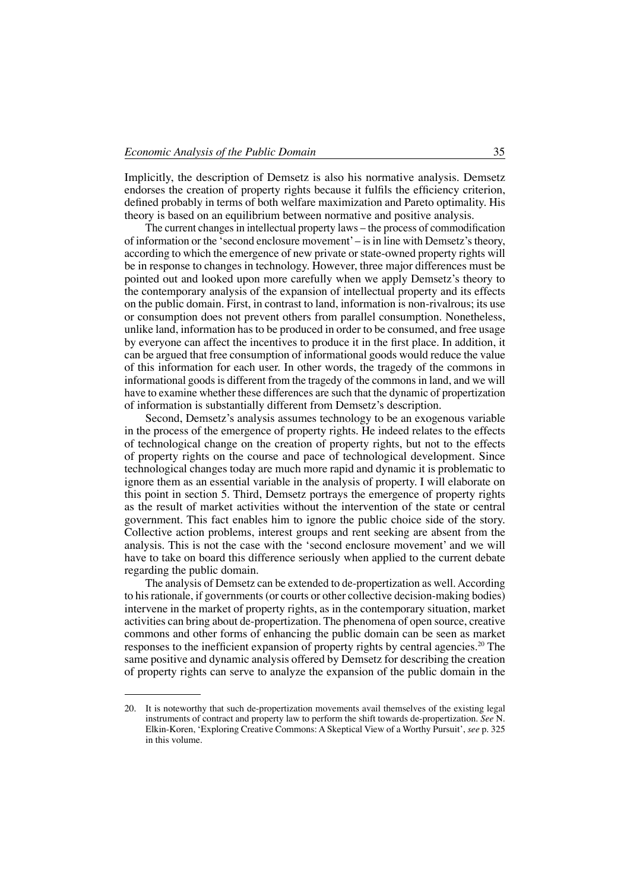Implicitly, the description of Demsetz is also his normative analysis. Demsetz endorses the creation of property rights because it fulfils the efficiency criterion, defined probably in terms of both welfare maximization and Pareto optimality. His theory is based on an equilibrium between normative and positive analysis.

The current changes in intellectual property laws – the process of commodification of information or the 'second enclosure movement'– is in line with Demsetz's theory, according to which the emergence of new private or state-owned property rights will be in response to changes in technology. However, three major differences must be pointed out and looked upon more carefully when we apply Demsetz's theory to the contemporary analysis of the expansion of intellectual property and its effects on the public domain. First, in contrast to land, information is non-rivalrous; its use or consumption does not prevent others from parallel consumption. Nonetheless, unlike land, information has to be produced in order to be consumed, and free usage by everyone can affect the incentives to produce it in the first place. In addition, it can be argued that free consumption of informational goods would reduce the value of this information for each user. In other words, the tragedy of the commons in informational goods is different from the tragedy of the commons in land, and we will have to examine whether these differences are such that the dynamic of propertization of information is substantially different from Demsetz's description.

Second, Demsetz's analysis assumes technology to be an exogenous variable in the process of the emergence of property rights. He indeed relates to the effects of technological change on the creation of property rights, but not to the effects of property rights on the course and pace of technological development. Since technological changes today are much more rapid and dynamic it is problematic to ignore them as an essential variable in the analysis of property. I will elaborate on this point in section 5. Third, Demsetz portrays the emergence of property rights as the result of market activities without the intervention of the state or central government. This fact enables him to ignore the public choice side of the story. Collective action problems, interest groups and rent seeking are absent from the analysis. This is not the case with the 'second enclosure movement' and we will have to take on board this difference seriously when applied to the current debate regarding the public domain.

The analysis of Demsetz can be extended to de-propertization as well.According to his rationale, if governments (or courts or other collective decision-making bodies) intervene in the market of property rights, as in the contemporary situation, market activities can bring about de-propertization. The phenomena of open source, creative commons and other forms of enhancing the public domain can be seen as market responses to the inefficient expansion of property rights by central agencies.<sup>20</sup> The same positive and dynamic analysis offered by Demsetz for describing the creation of property rights can serve to analyze the expansion of the public domain in the

<sup>20.</sup> It is noteworthy that such de-propertization movements avail themselves of the existing legal instruments of contract and property law to perform the shift towards de-propertization. *See* N. Elkin-Koren, 'Exploring Creative Commons: A Skeptical View of a Worthy Pursuit', *see* p. 325 in this volume.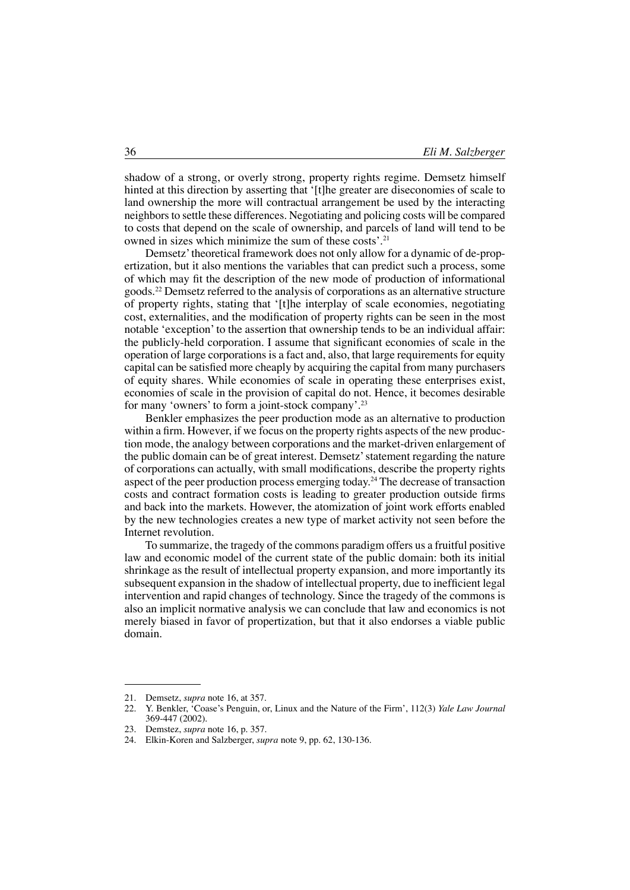shadow of a strong, or overly strong, property rights regime. Demsetz himself hinted at this direction by asserting that '[t]he greater are diseconomies of scale to land ownership the more will contractual arrangement be used by the interacting neighbors to settle these differences. Negotiating and policing costs will be compared to costs that depend on the scale of ownership, and parcels of land will tend to be owned in sizes which minimize the sum of these costs'.<sup>21</sup>

Demsetz' theoretical framework does not only allow for a dynamic of de-propertization, but it also mentions the variables that can predict such a process, some of which may fit the description of the new mode of production of informational goods.22 Demsetz referred to the analysis of corporations as an alternative structure of property rights, stating that '[t]he interplay of scale economies, negotiating cost, externalities, and the modification of property rights can be seen in the most notable 'exception'to the assertion that ownership tends to be an individual affair: the publicly-held corporation. I assume that significant economies of scale in the operation of large corporations is a fact and, also, that large requirements for equity capital can be satisfied more cheaply by acquiring the capital from many purchasers of equity shares. While economies of scale in operating these enterprises exist, economies of scale in the provision of capital do not. Hence, it becomes desirable for many 'owners' to form a joint-stock company'.<sup>23</sup>

Benkler emphasizes the peer production mode as an alternative to production within a firm. However, if we focus on the property rights aspects of the new production mode, the analogy between corporations and the market-driven enlargement of the public domain can be of great interest. Demsetz'statement regarding the nature of corporations can actually, with small modifications, describe the property rights aspect of the peer production process emerging today.24 The decrease of transaction costs and contract formation costs is leading to greater production outside firms and back into the markets. However, the atomization of joint work efforts enabled by the new technologies creates a new type of market activity not seen before the Internet revolution.

To summarize, the tragedy of the commons paradigm offers us a fruitful positive law and economic model of the current state of the public domain: both its initial shrinkage as the result of intellectual property expansion, and more importantly its subsequent expansion in the shadow of intellectual property, due to inefficient legal intervention and rapid changes of technology. Since the tragedy of the commons is also an implicit normative analysis we can conclude that law and economics is not merely biased in favor of propertization, but that it also endorses a viable public domain.

<sup>21.</sup> Demsetz, *supra* note 16, at 357.

<sup>22.</sup> Y. Benkler, 'Coase's Penguin, or, Linux and the Nature of the Firm', 112(3) *Yale Law Journal* 369-447 (2002).

<sup>23.</sup> Demstez, *supra* note 16, p. 357.

<sup>24.</sup> Elkin-Koren and Salzberger, *supra* note 9, pp. 62, 130-136.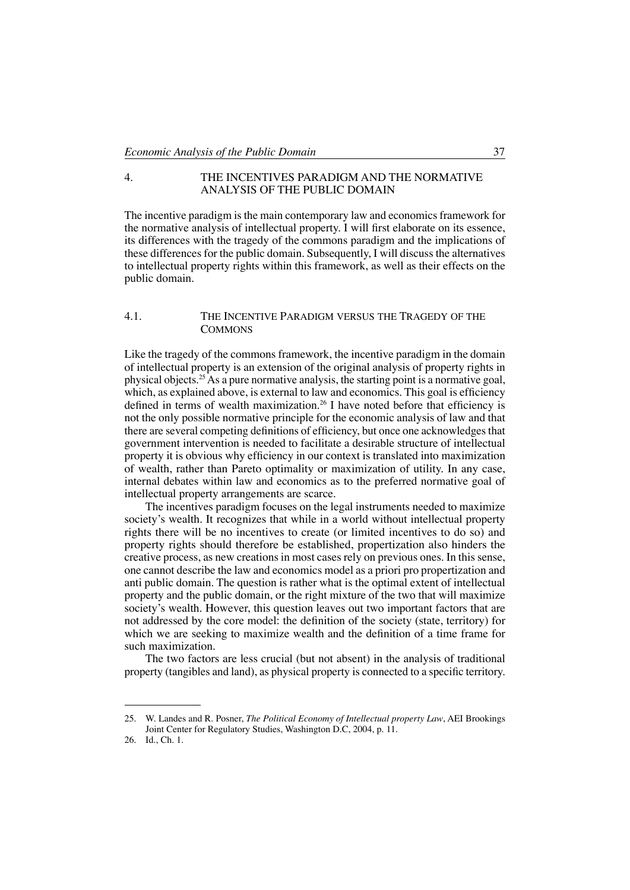# 4. The Incentives Paradigm and the Normative Analysis of the Public Domain

The incentive paradigm is the main contemporary law and economics framework for the normative analysis of intellectual property. I will first elaborate on its essence, its differences with the tragedy of the commons paradigm and the implications of these differences for the public domain. Subsequently, I will discuss the alternatives to intellectual property rights within this framework, as well as their effects on the public domain.

### 4.1. The Incentive Paradigm versus the Tragedy of the **COMMONS**

Like the tragedy of the commons framework, the incentive paradigm in the domain of intellectual property is an extension of the original analysis of property rights in physical objects.<sup>25</sup>As a pure normative analysis, the starting point is a normative goal, which, as explained above, is external to law and economics. This goal is efficiency defined in terms of wealth maximization.<sup>26</sup> I have noted before that efficiency is not the only possible normative principle for the economic analysis of law and that there are several competing definitions of efficiency, but once one acknowledges that government intervention is needed to facilitate a desirable structure of intellectual property it is obvious why efficiency in our context is translated into maximization of wealth, rather than Pareto optimality or maximization of utility. In any case, internal debates within law and economics as to the preferred normative goal of intellectual property arrangements are scarce.

The incentives paradigm focuses on the legal instruments needed to maximize society's wealth. It recognizes that while in a world without intellectual property rights there will be no incentives to create (or limited incentives to do so) and property rights should therefore be established, propertization also hinders the creative process, as new creations in most cases rely on previous ones. In this sense, one cannot describe the law and economics model as a priori pro propertization and anti public domain. The question is rather what is the optimal extent of intellectual property and the public domain, or the right mixture of the two that will maximize society's wealth. However, this question leaves out two important factors that are not addressed by the core model: the definition of the society (state, territory) for which we are seeking to maximize wealth and the definition of a time frame for such maximization.

The two factors are less crucial (but not absent) in the analysis of traditional property (tangibles and land), as physical property is connected to a specific territory.

<sup>25.</sup> W. Landes and R. Posner, *The Political Economy of Intellectual property Law*, AEI Brookings Joint Center for Regulatory Studies, Washington D.C, 2004, p. 11.

<sup>26.</sup> Id., Ch. 1.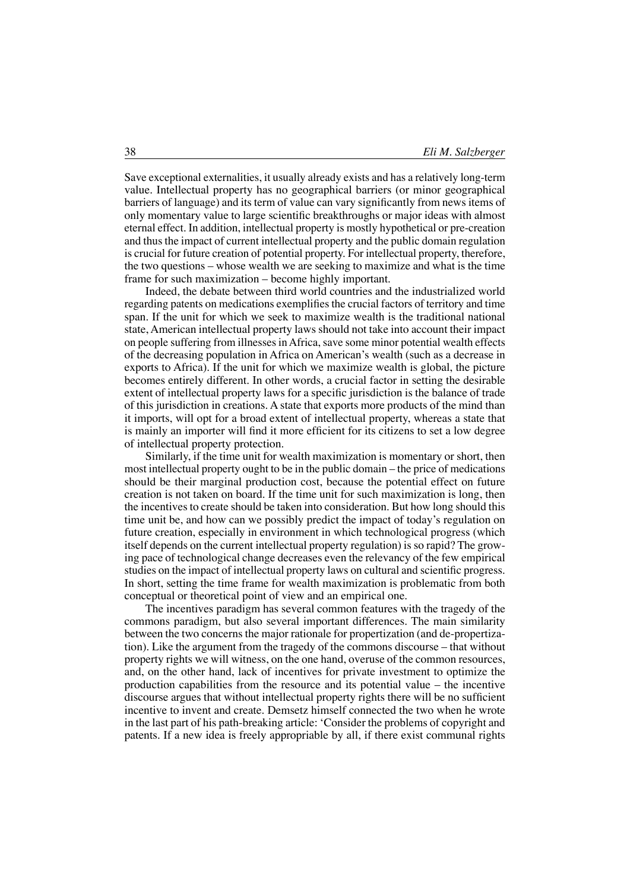Save exceptional externalities, it usually already exists and has a relatively long-term value. Intellectual property has no geographical barriers (or minor geographical barriers of language) and its term of value can vary significantly from news items of only momentary value to large scientific breakthroughs or major ideas with almost eternal effect. In addition, intellectual property is mostly hypothetical or pre-creation and thus the impact of current intellectual property and the public domain regulation is crucial for future creation of potential property. For intellectual property, therefore, the two questions – whose wealth we are seeking to maximize and what is the time frame for such maximization – become highly important.

Indeed, the debate between third world countries and the industrialized world regarding patents on medications exemplifies the crucial factors of territory and time span. If the unit for which we seek to maximize wealth is the traditional national state, American intellectual property laws should not take into account their impact on people suffering from illnesses inAfrica, save some minor potential wealth effects of the decreasing population in Africa on American's wealth (such as a decrease in exports to Africa). If the unit for which we maximize wealth is global, the picture becomes entirely different. In other words, a crucial factor in setting the desirable extent of intellectual property laws for a specific jurisdiction is the balance of trade of this jurisdiction in creations. A state that exports more products of the mind than it imports, will opt for a broad extent of intellectual property, whereas a state that is mainly an importer will find it more efficient for its citizens to set a low degree of intellectual property protection.

Similarly, if the time unit for wealth maximization is momentary or short, then most intellectual property ought to be in the public domain – the price of medications should be their marginal production cost, because the potential effect on future creation is not taken on board. If the time unit for such maximization is long, then the incentives to create should be taken into consideration. But how long should this time unit be, and how can we possibly predict the impact of today's regulation on future creation, especially in environment in which technological progress (which itself depends on the current intellectual property regulation) is so rapid? The growing pace of technological change decreases even the relevancy of the few empirical studies on the impact of intellectual property laws on cultural and scientific progress. In short, setting the time frame for wealth maximization is problematic from both conceptual or theoretical point of view and an empirical one.

The incentives paradigm has several common features with the tragedy of the commons paradigm, but also several important differences. The main similarity between the two concerns the major rationale for propertization (and de-propertization). Like the argument from the tragedy of the commons discourse – that without property rights we will witness, on the one hand, overuse of the common resources, and, on the other hand, lack of incentives for private investment to optimize the production capabilities from the resource and its potential value – the incentive discourse argues that without intellectual property rights there will be no sufficient incentive to invent and create. Demsetz himself connected the two when he wrote in the last part of his path-breaking article: 'Consider the problems of copyright and patents. If a new idea is freely appropriable by all, if there exist communal rights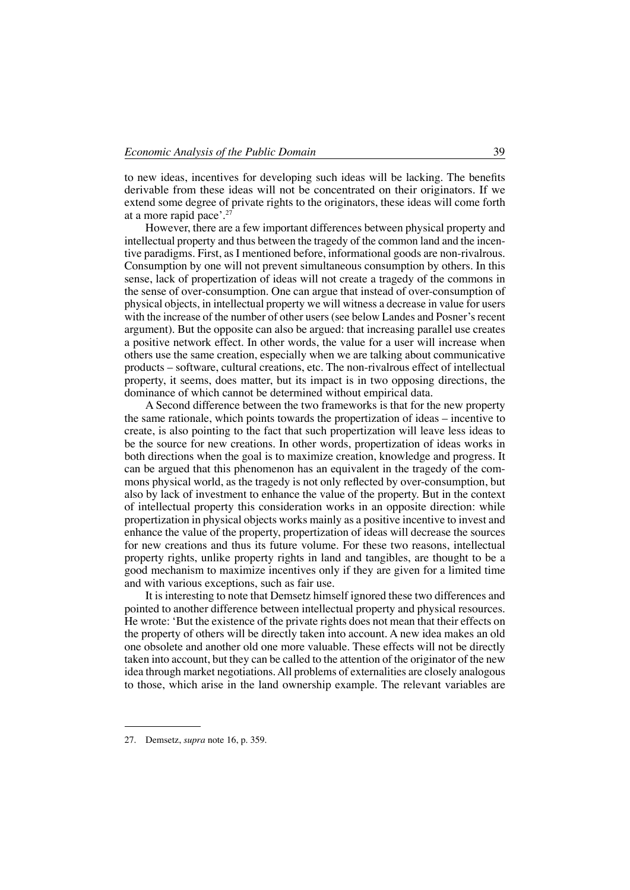to new ideas, incentives for developing such ideas will be lacking. The benefits derivable from these ideas will not be concentrated on their originators. If we extend some degree of private rights to the originators, these ideas will come forth at a more rapid pace'. $27$ 

However, there are a few important differences between physical property and intellectual property and thus between the tragedy of the common land and the incentive paradigms. First, as I mentioned before, informational goods are non-rivalrous. Consumption by one will not prevent simultaneous consumption by others. In this sense, lack of propertization of ideas will not create a tragedy of the commons in the sense of over-consumption. One can argue that instead of over-consumption of physical objects, in intellectual property we will witness a decrease in value for users with the increase of the number of other users (see below Landes and Posner's recent argument). But the opposite can also be argued: that increasing parallel use creates a positive network effect. In other words, the value for a user will increase when others use the same creation, especially when we are talking about communicative products – software, cultural creations, etc. The non-rivalrous effect of intellectual property, it seems, does matter, but its impact is in two opposing directions, the dominance of which cannot be determined without empirical data.

A Second difference between the two frameworks is that for the new property the same rationale, which points towards the propertization of ideas – incentive to create, is also pointing to the fact that such propertization will leave less ideas to be the source for new creations. In other words, propertization of ideas works in both directions when the goal is to maximize creation, knowledge and progress. It can be argued that this phenomenon has an equivalent in the tragedy of the commons physical world, as the tragedy is not only reflected by over-consumption, but also by lack of investment to enhance the value of the property. But in the context of intellectual property this consideration works in an opposite direction: while propertization in physical objects works mainly as a positive incentive to invest and enhance the value of the property, propertization of ideas will decrease the sources for new creations and thus its future volume. For these two reasons, intellectual property rights, unlike property rights in land and tangibles, are thought to be a good mechanism to maximize incentives only if they are given for a limited time and with various exceptions, such as fair use.

It is interesting to note that Demsetz himself ignored these two differences and pointed to another difference between intellectual property and physical resources. He wrote: 'But the existence of the private rights does not mean that their effects on the property of others will be directly taken into account. A new idea makes an old one obsolete and another old one more valuable. These effects will not be directly taken into account, but they can be called to the attention of the originator of the new idea through market negotiations.All problems of externalities are closely analogous to those, which arise in the land ownership example. The relevant variables are

<sup>27.</sup> Demsetz, *supra* note 16, p. 359.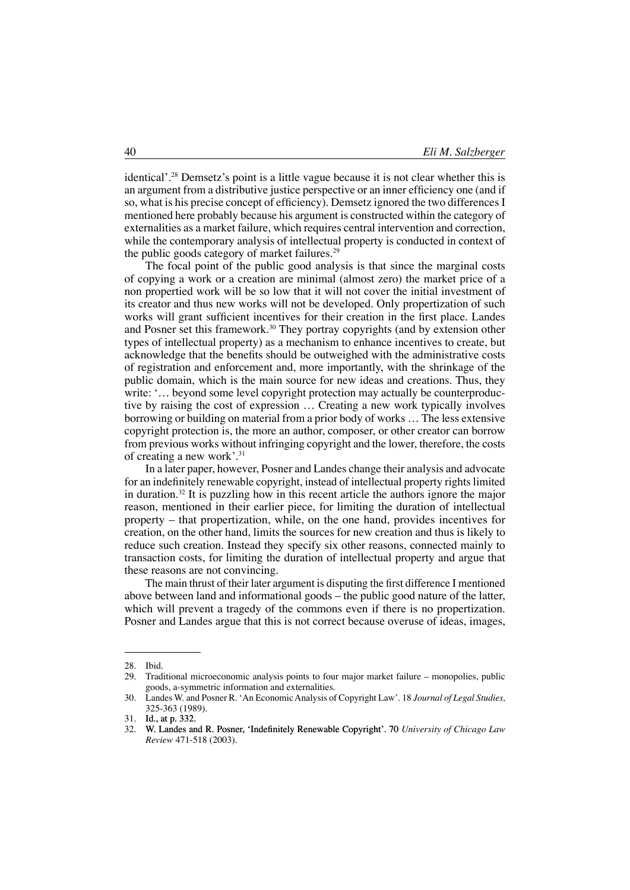identical'.28 Demsetz's point is a little vague because it is not clear whether this is an argument from a distributive justice perspective or an inner efficiency one (and if so, what is his precise concept of efficiency). Demsetz ignored the two differences I mentioned here probably because his argument is constructed within the category of externalities as a market failure, which requires central intervention and correction, while the contemporary analysis of intellectual property is conducted in context of the public goods category of market failures.<sup>29</sup>

The focal point of the public good analysis is that since the marginal costs of copying a work or a creation are minimal (almost zero) the market price of a non propertied work will be so low that it will not cover the initial investment of its creator and thus new works will not be developed. Only propertization of such works will grant sufficient incentives for their creation in the first place. Landes and Posner set this framework.<sup>30</sup> They portray copyrights (and by extension other types of intellectual property) as a mechanism to enhance incentives to create, but acknowledge that the benefits should be outweighed with the administrative costs of registration and enforcement and, more importantly, with the shrinkage of the public domain, which is the main source for new ideas and creations. Thus, they write: '... beyond some level copyright protection may actually be counterproductive by raising the cost of expression … Creating a new work typically involves borrowing or building on material from a prior body of works … The less extensive copyright protection is, the more an author, composer, or other creator can borrow from previous works without infringing copyright and the lower, therefore, the costs of creating a new work'.31

In a later paper, however, Posner and Landes change their analysis and advocate for an indefinitely renewable copyright, instead of intellectual property rights limited in duration.<sup>32</sup> It is puzzling how in this recent article the authors ignore the major reason, mentioned in their earlier piece, for limiting the duration of intellectual property – that propertization, while, on the one hand, provides incentives for creation, on the other hand, limits the sources for new creation and thus is likely to reduce such creation. Instead they specify six other reasons, connected mainly to transaction costs, for limiting the duration of intellectual property and argue that these reasons are not convincing.

The main thrust of their later argument is disputing the first difference I mentioned above between land and informational goods – the public good nature of the latter, which will prevent a tragedy of the commons even if there is no propertization. Posner and Landes argue that this is not correct because overuse of ideas, images,

<sup>28.</sup> Ibid.<br>29. Trad

Traditional microeconomic analysis points to four major market failure – monopolies, public goods, a-symmetric information and externalities.

<sup>30.</sup> Landes W. and Posner R. 'An EconomicAnalysis of Copyright Law'. 18 *Journal of Legal Studies,* 325-363 (1989).

<sup>31.</sup> Id., at p. 332.<br>32. W I andes an

<sup>32.</sup> W. Landes and R. Posner, 'Indefinitely Renewable Copyright'. 70 *University of Chicago Law Review* 471-518 (2003).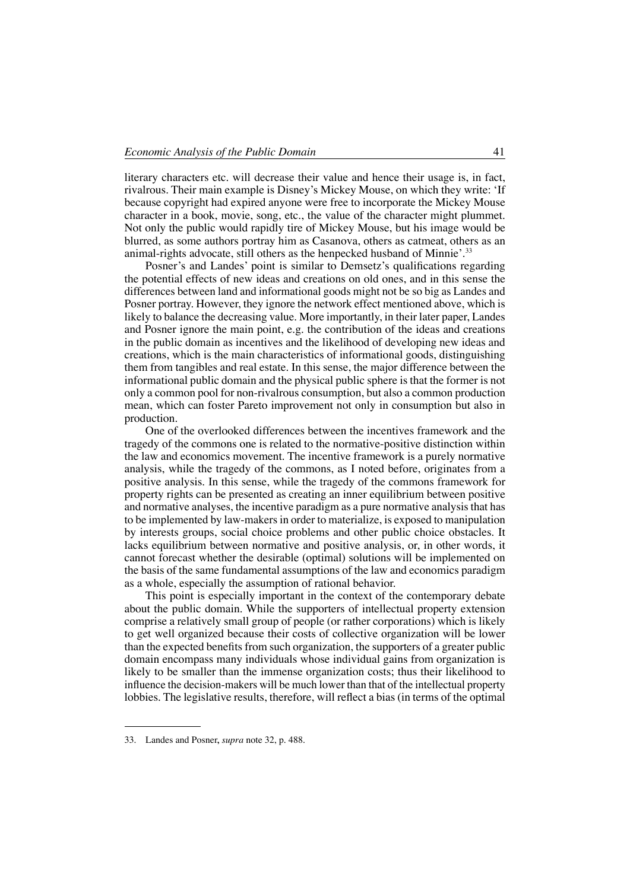literary characters etc. will decrease their value and hence their usage is, in fact, rivalrous. Their main example is Disney's Mickey Mouse, on which they write: 'If because copyright had expired anyone were free to incorporate the Mickey Mouse character in a book, movie, song, etc., the value of the character might plummet. Not only the public would rapidly tire of Mickey Mouse, but his image would be blurred, as some authors portray him as Casanova, others as catmeat, others as an animal-rights advocate, still others as the henpecked husband of Minnie'.<sup>33</sup>

Posner's and Landes' point is similar to Demsetz's qualifications regarding the potential effects of new ideas and creations on old ones, and in this sense the differences between land and informational goods might not be so big as Landes and Posner portray. However, they ignore the network effect mentioned above, which is likely to balance the decreasing value. More importantly, in their later paper, Landes and Posner ignore the main point, e.g. the contribution of the ideas and creations in the public domain as incentives and the likelihood of developing new ideas and creations, which is the main characteristics of informational goods, distinguishing them from tangibles and real estate. In this sense, the major difference between the informational public domain and the physical public sphere is that the former is not only a common pool for non-rivalrous consumption, but also a common production mean, which can foster Pareto improvement not only in consumption but also in production.

One of the overlooked differences between the incentives framework and the tragedy of the commons one is related to the normative-positive distinction within the law and economics movement. The incentive framework is a purely normative analysis, while the tragedy of the commons, as I noted before, originates from a positive analysis. In this sense, while the tragedy of the commons framework for property rights can be presented as creating an inner equilibrium between positive and normative analyses, the incentive paradigm as a pure normative analysis that has to be implemented by law-makers in order to materialize, is exposed to manipulation by interests groups, social choice problems and other public choice obstacles. It lacks equilibrium between normative and positive analysis, or, in other words, it cannot forecast whether the desirable (optimal) solutions will be implemented on the basis of the same fundamental assumptions of the law and economics paradigm as a whole, especially the assumption of rational behavior.

This point is especially important in the context of the contemporary debate about the public domain. While the supporters of intellectual property extension comprise a relatively small group of people (or rather corporations) which is likely to get well organized because their costs of collective organization will be lower than the expected benefits from such organization, the supporters of a greater public domain encompass many individuals whose individual gains from organization is likely to be smaller than the immense organization costs; thus their likelihood to influence the decision-makers will be much lower than that of the intellectual property lobbies. The legislative results, therefore, will reflect a bias (in terms of the optimal

<sup>33.</sup> Landes and Posner, *supra* note 32, p. 488.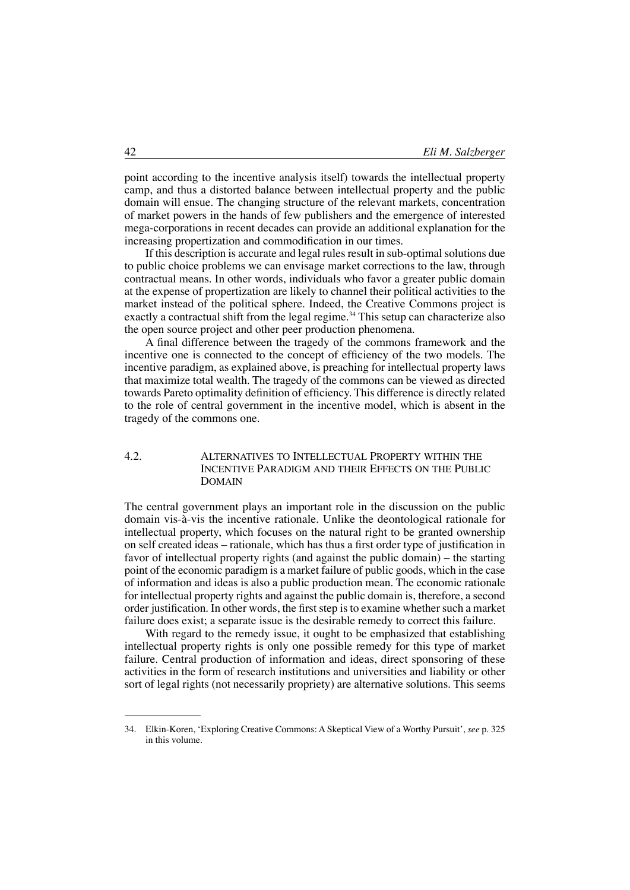point according to the incentive analysis itself) towards the intellectual property camp, and thus a distorted balance between intellectual property and the public domain will ensue. The changing structure of the relevant markets, concentration of market powers in the hands of few publishers and the emergence of interested mega-corporations in recent decades can provide an additional explanation for the increasing propertization and commodification in our times.

If this description is accurate and legal rules result in sub-optimal solutions due to public choice problems we can envisage market corrections to the law, through contractual means. In other words, individuals who favor a greater public domain at the expense of propertization are likely to channel their political activities to the market instead of the political sphere. Indeed, the Creative Commons project is exactly a contractual shift from the legal regime.<sup>34</sup> This setup can characterize also the open source project and other peer production phenomena.

A final difference between the tragedy of the commons framework and the incentive one is connected to the concept of efficiency of the two models. The incentive paradigm, as explained above, is preaching for intellectual property laws that maximize total wealth. The tragedy of the commons can be viewed as directed towards Pareto optimality definition of efficiency. This difference is directly related to the role of central government in the incentive model, which is absent in the tragedy of the commons one.

## 4.2. Alternatives to Intellectual Property within the Incentive Paradigm and their Effects on the Public **DOMAIN**

The central government plays an important role in the discussion on the public domain vis-à-vis the incentive rationale. Unlike the deontological rationale for intellectual property, which focuses on the natural right to be granted ownership on self created ideas – rationale, which has thus a first order type of justification in favor of intellectual property rights (and against the public domain) – the starting point of the economic paradigm is a market failure of public goods, which in the case of information and ideas is also a public production mean. The economic rationale for intellectual property rights and against the public domain is, therefore, a second order justification. In other words, the first step is to examine whether such a market failure does exist; a separate issue is the desirable remedy to correct this failure.

With regard to the remedy issue, it ought to be emphasized that establishing intellectual property rights is only one possible remedy for this type of market failure. Central production of information and ideas, direct sponsoring of these activities in the form of research institutions and universities and liability or other sort of legal rights (not necessarily propriety) are alternative solutions. This seems

<sup>34.</sup> Elkin-Koren, 'Exploring Creative Commons: A Skeptical View of a Worthy Pursuit', *see* p. 325 in this volume.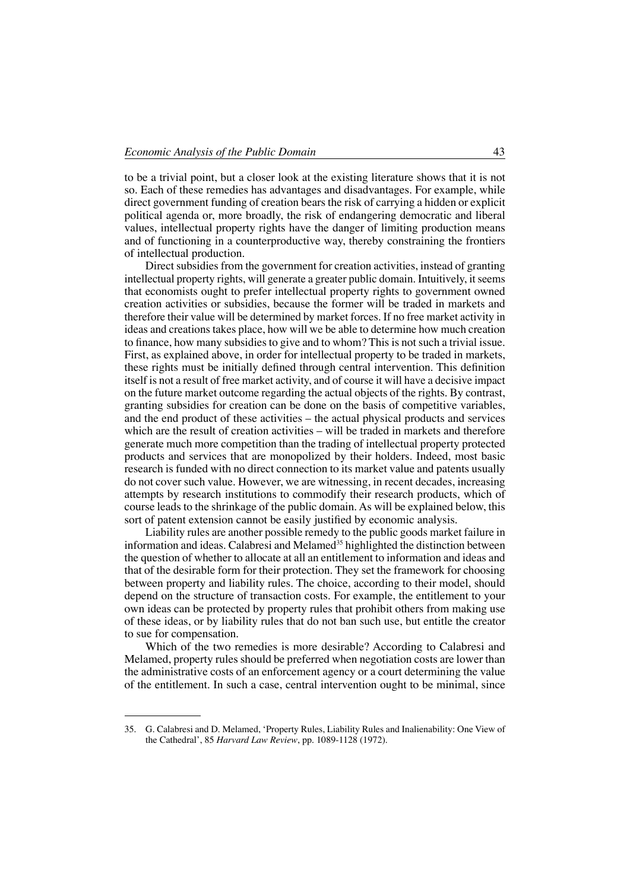to be a trivial point, but a closer look at the existing literature shows that it is not so. Each of these remedies has advantages and disadvantages. For example, while direct government funding of creation bears the risk of carrying a hidden or explicit political agenda or, more broadly, the risk of endangering democratic and liberal values, intellectual property rights have the danger of limiting production means and of functioning in a counterproductive way, thereby constraining the frontiers of intellectual production.

Direct subsidies from the government for creation activities, instead of granting intellectual property rights, will generate a greater public domain. Intuitively, it seems that economists ought to prefer intellectual property rights to government owned creation activities or subsidies, because the former will be traded in markets and therefore their value will be determined by market forces. If no free market activity in ideas and creations takes place, how will we be able to determine how much creation to finance, how many subsidies to give and to whom? This is not such a trivial issue. First, as explained above, in order for intellectual property to be traded in markets, these rights must be initially defined through central intervention. This definition itself is not a result of free market activity, and of course it will have a decisive impact on the future market outcome regarding the actual objects of the rights. By contrast, granting subsidies for creation can be done on the basis of competitive variables, and the end product of these activities – the actual physical products and services which are the result of creation activities – will be traded in markets and therefore generate much more competition than the trading of intellectual property protected products and services that are monopolized by their holders. Indeed, most basic research is funded with no direct connection to its market value and patents usually do not cover such value. However, we are witnessing, in recent decades, increasing attempts by research institutions to commodify their research products, which of course leads to the shrinkage of the public domain. As will be explained below, this sort of patent extension cannot be easily justified by economic analysis.

Liability rules are another possible remedy to the public goods market failure in information and ideas. Calabresi and Melamed<sup>35</sup> highlighted the distinction between the question of whether to allocate at all an entitlement to information and ideas and that of the desirable form for their protection. They set the framework for choosing between property and liability rules. The choice, according to their model, should depend on the structure of transaction costs. For example, the entitlement to your own ideas can be protected by property rules that prohibit others from making use of these ideas, or by liability rules that do not ban such use, but entitle the creator to sue for compensation.

Which of the two remedies is more desirable? According to Calabresi and Melamed, property rules should be preferred when negotiation costs are lower than the administrative costs of an enforcement agency or a court determining the value of the entitlement. In such a case, central intervention ought to be minimal, since

<sup>35.</sup> G. Calabresi and D. Melamed, 'Property Rules, Liability Rules and Inalienability: One View of the Cathedral', 85 *Harvard Law Review*, pp. 1089-1128 (1972).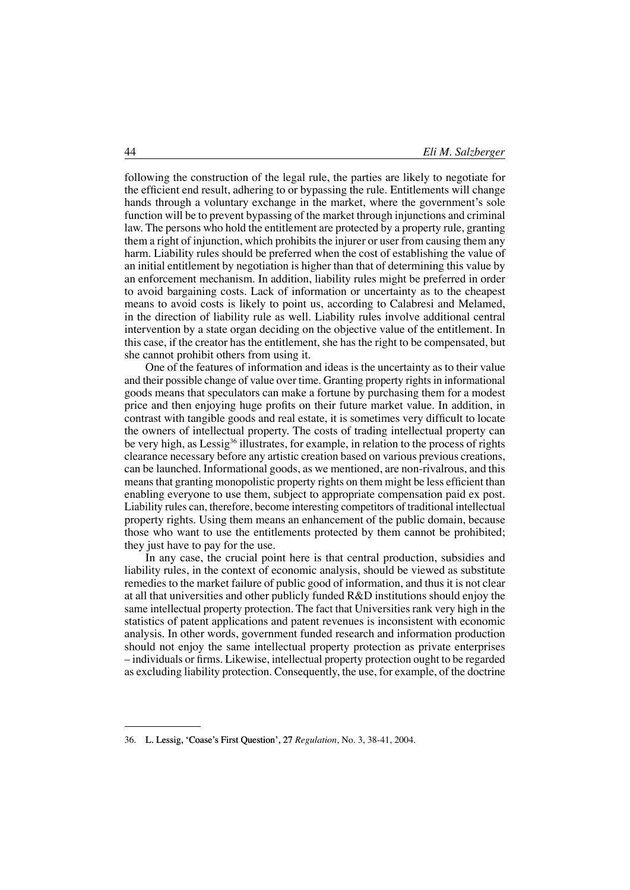following the construction of the legal rule, the parties are likely to negotiate for the efficient end result, adhering to or bypassing the rule. Entitlements will change hands through a voluntary exchange in the market, where the government's sole function will be to prevent bypassing of the market through injunctions and criminal law. The persons who hold the entitlement are protected by a property rule, granting them a right of injunction, which prohibits the injurer or user from causing them any harm. Liability rules should be preferred when the cost of establishing the value of an initial entitlement by negotiation is higher than that of determining this value by an enforcement mechanism. In addition, liability rules might be preferred in order to avoid bargaining costs. Lack of information or uncertainty as to the cheapest means to avoid costs is likely to point us, according to Calabresi and Melamed, in the direction of liability rule as well. Liability rules involve additional central intervention by a state organ deciding on the objective value of the entitlement. In this case, if the creator has the entitlement, she has the right to be compensated, but she cannot prohibit others from using it.

One of the features of information and ideas is the uncertainty as to their value and their possible change of value over time. Granting property rights in informational goods means that speculators can make a fortune by purchasing them for a modest price and then enjoying huge profits on their future market value. In addition, in contrast with tangible goods and real estate, it is sometimes very difficult to locate the owners of intellectual property. The costs of trading intellectual property can be very high, as Lessig<sup>36</sup> illustrates, for example, in relation to the process of rights clearance necessary before any artistic creation based on various previous creations, can be launched. Informational goods, as we mentioned, are non-rivalrous, and this means that granting monopolistic property rights on them might be less efficient than enabling everyone to use them, subject to appropriate compensation paid ex post. Liability rules can, therefore, become interesting competitors of traditional intellectual property rights. Using them means an enhancement of the public domain, because those who want to use the entitlements protected by them cannot be prohibited; they just have to pay for the use.

In any case, the crucial point here is that central production, subsidies and liability rules, in the context of economic analysis, should be viewed as substitute remedies to the market failure of public good of information, and thus it is not clear at all that universities and other publicly funded R&D institutions should enjoy the same intellectual property protection. The fact that Universities rank very high in the statistics of patent applications and patent revenues is inconsistent with economic analysis. In other words, government funded research and information production should not enjoy the same intellectual property protection as private enterprises – individuals or firms. Likewise, intellectual property protection ought to be regarded as excluding liability protection. Consequently, the use, for example, of the doctrine

<sup>36.</sup> L. Lessig, 'Coase's First Question', 27 *Regulation*, No. 3, 38-41, 2004.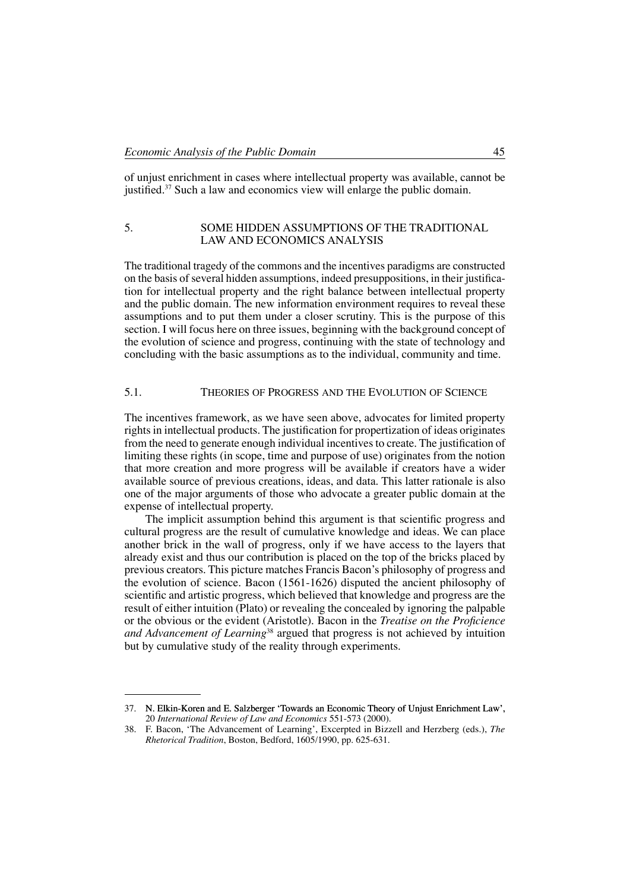of unjust enrichment in cases where intellectual property was available, cannot be justified.<sup>37</sup> Such a law and economics view will enlarge the public domain.

## 5. SOME HIDDEN ASSUMPTIONS OF THE TRADITIONAL law and economics analysis

The traditional tragedy of the commons and the incentives paradigms are constructed on the basis of several hidden assumptions, indeed presuppositions, in their justification for intellectual property and the right balance between intellectual property and the public domain. The new information environment requires to reveal these assumptions and to put them under a closer scrutiny. This is the purpose of this section. I will focus here on three issues, beginning with the background concept of the evolution of science and progress, continuing with the state of technology and concluding with the basic assumptions as to the individual, community and time.

# 5.1. Theories of Progress and the Evolution of Science

The incentives framework, as we have seen above, advocates for limited property rights in intellectual products. The justification for propertization of ideas originates from the need to generate enough individual incentives to create. The justification of limiting these rights (in scope, time and purpose of use) originates from the notion that more creation and more progress will be available if creators have a wider available source of previous creations, ideas, and data. This latter rationale is also one of the major arguments of those who advocate a greater public domain at the expense of intellectual property.

The implicit assumption behind this argument is that scientific progress and cultural progress are the result of cumulative knowledge and ideas. We can place another brick in the wall of progress, only if we have access to the layers that already exist and thus our contribution is placed on the top of the bricks placed by previous creators. This picture matches Francis Bacon's philosophy of progress and the evolution of science. Bacon (1561-1626) disputed the ancient philosophy of scientific and artistic progress, which believed that knowledge and progress are the result of either intuition (Plato) or revealing the concealed by ignoring the palpable or the obvious or the evident (Aristotle). Bacon in the *Treatise on the Proficience and Advancement of Learning*<sup>38</sup> argued that progress is not achieved by intuition but by cumulative study of the reality through experiments.

<sup>37.</sup> N. Elkin-Koren and E. Salzberger 'Towards an Economic Theory of Unjust Enrichment Law', 20 *International Review of Law and Economics* 551-573 (2000).

<sup>38.</sup> F. Bacon, 'The Advancement of Learning', Excerpted in Bizzell and Herzberg (eds.), *The Rhetorical Tradition*, Boston, Bedford, 1605/1990, pp. 625-631.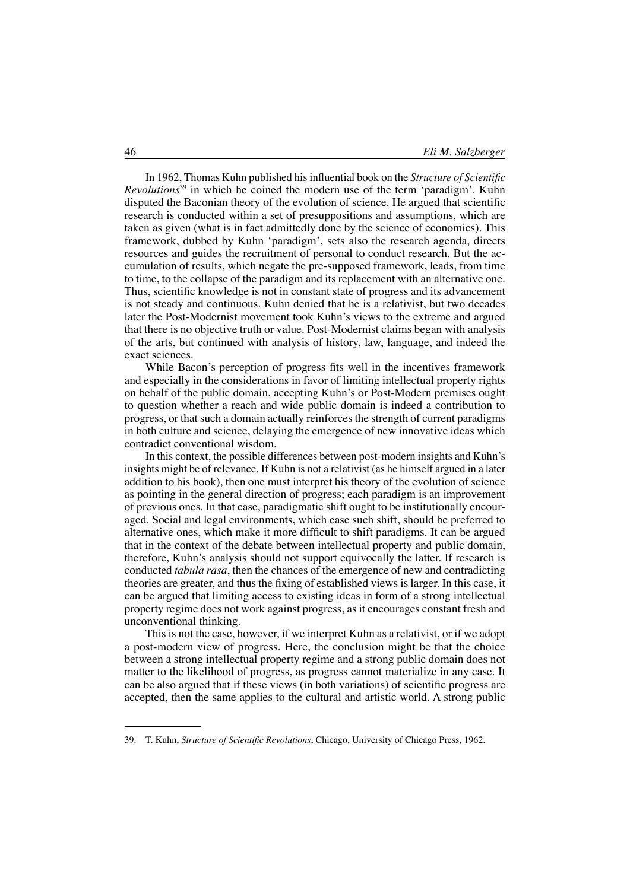In 1962, Thomas Kuhn published his influential book on the *Structure of Scientific Revolutions*<sup>39</sup> in which he coined the modern use of the term 'paradigm'. Kuhn disputed the Baconian theory of the evolution of science. He argued that scientific research is conducted within a set of presuppositions and assumptions, which are taken as given (what is in fact admittedly done by the science of economics). This framework, dubbed by Kuhn 'paradigm', sets also the research agenda, directs resources and guides the recruitment of personal to conduct research. But the accumulation of results, which negate the pre-supposed framework, leads, from time to time, to the collapse of the paradigm and its replacement with an alternative one. Thus, scientific knowledge is not in constant state of progress and its advancement is not steady and continuous. Kuhn denied that he is a relativist, but two decades later the Post-Modernist movement took Kuhn's views to the extreme and argued that there is no objective truth or value. Post-Modernist claims began with analysis of the arts, but continued with analysis of history, law, language, and indeed the exact sciences.

While Bacon's perception of progress fits well in the incentives framework and especially in the considerations in favor of limiting intellectual property rights on behalf of the public domain, accepting Kuhn's or Post-Modern premises ought to question whether a reach and wide public domain is indeed a contribution to progress, or that such a domain actually reinforces the strength of current paradigms in both culture and science, delaying the emergence of new innovative ideas which contradict conventional wisdom.

In this context, the possible differences between post-modern insights and Kuhn's insights might be of relevance. If Kuhn is not a relativist (as he himself argued in a later addition to his book), then one must interpret his theory of the evolution of science as pointing in the general direction of progress; each paradigm is an improvement of previous ones. In that case, paradigmatic shift ought to be institutionally encouraged. Social and legal environments, which ease such shift, should be preferred to alternative ones, which make it more difficult to shift paradigms. It can be argued that in the context of the debate between intellectual property and public domain, therefore, Kuhn's analysis should not support equivocally the latter. If research is conducted *tabula rasa*, then the chances of the emergence of new and contradicting theories are greater, and thus the fixing of established views is larger. In this case, it can be argued that limiting access to existing ideas in form of a strong intellectual property regime does not work against progress, as it encourages constant fresh and unconventional thinking.

This is not the case, however, if we interpret Kuhn as a relativist, or if we adopt a post-modern view of progress. Here, the conclusion might be that the choice between a strong intellectual property regime and a strong public domain does not matter to the likelihood of progress, as progress cannot materialize in any case. It can be also argued that if these views (in both variations) of scientific progress are accepted, then the same applies to the cultural and artistic world. A strong public

<sup>39.</sup> T. Kuhn, *Structure of Scientific Revolutions*, Chicago, University of Chicago Press, 1962.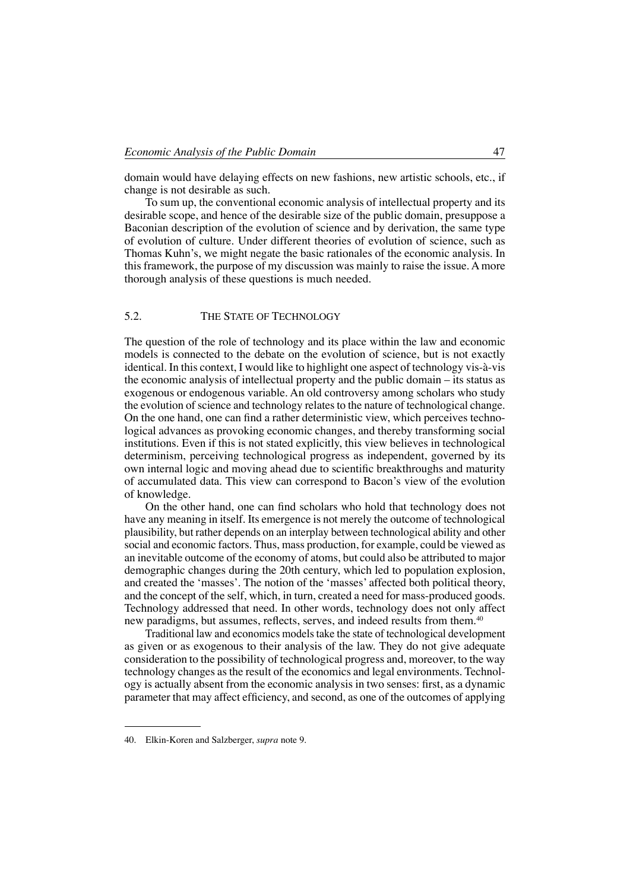domain would have delaying effects on new fashions, new artistic schools, etc., if change is not desirable as such.

To sum up, the conventional economic analysis of intellectual property and its desirable scope, and hence of the desirable size of the public domain, presuppose a Baconian description of the evolution of science and by derivation, the same type of evolution of culture. Under different theories of evolution of science, such as Thomas Kuhn's, we might negate the basic rationales of the economic analysis. In this framework, the purpose of my discussion was mainly to raise the issue. Amore thorough analysis of these questions is much needed.

### 5.2. THE STATE OF TECHNOLOGY

The question of the role of technology and its place within the law and economic models is connected to the debate on the evolution of science, but is not exactly identical. In this context, I would like to highlight one aspect of technology vis-à-vis the economic analysis of intellectual property and the public domain – its status as exogenous or endogenous variable. An old controversy among scholars who study the evolution of science and technology relates to the nature of technological change. On the one hand, one can find a rather deterministic view, which perceives technological advances as provoking economic changes, and thereby transforming social institutions. Even if this is not stated explicitly, this view believes in technological determinism, perceiving technological progress as independent, governed by its own internal logic and moving ahead due to scientific breakthroughs and maturity of accumulated data. This view can correspond to Bacon's view of the evolution of knowledge.

On the other hand, one can find scholars who hold that technology does not have any meaning in itself. Its emergence is not merely the outcome of technological plausibility, but rather depends on an interplay between technological ability and other social and economic factors. Thus, mass production, for example, could be viewed as an inevitable outcome of the economy of atoms, but could also be attributed to major demographic changes during the 20th century, which led to population explosion, and created the 'masses'. The notion of the 'masses' affected both political theory, and the concept of the self, which, in turn, created a need for mass-produced goods. Technology addressed that need. In other words, technology does not only affect new paradigms, but assumes, reflects, serves, and indeed results from them.<sup>40</sup>

Traditional law and economics models take the state of technological development as given or as exogenous to their analysis of the law. They do not give adequate consideration to the possibility of technological progress and, moreover, to the way technology changes as the result of the economics and legal environments. Technology is actually absent from the economic analysis in two senses: first, as a dynamic parameter that may affect efficiency, and second, as one of the outcomes of applying

<sup>40.</sup> Elkin-Koren and Salzberger, *supra* note 9.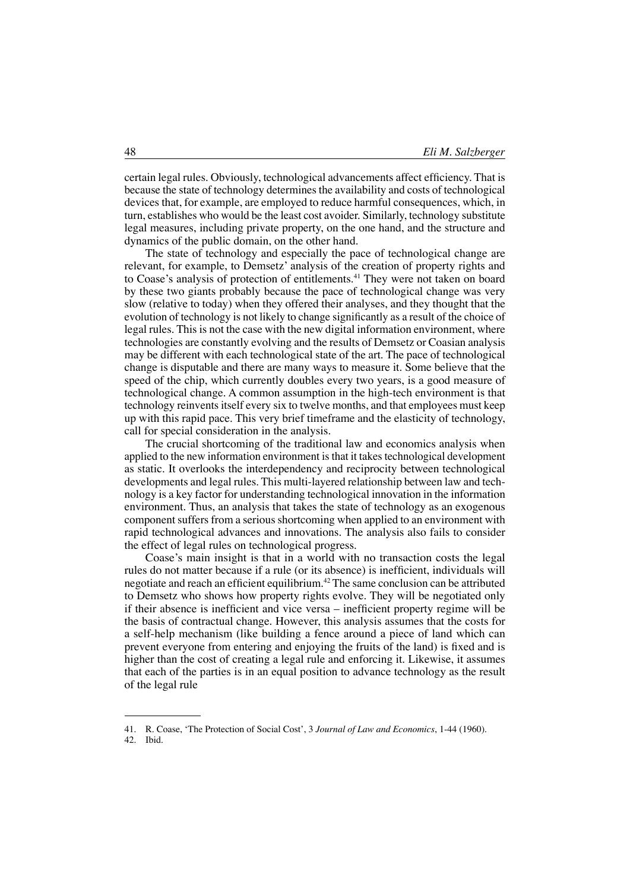certain legal rules. Obviously, technological advancements affect efficiency. That is because the state of technology determines the availability and costs of technological devices that, for example, are employed to reduce harmful consequences, which, in turn, establishes who would be the least cost avoider. Similarly, technology substitute legal measures, including private property, on the one hand, and the structure and dynamics of the public domain, on the other hand.

The state of technology and especially the pace of technological change are relevant, for example, to Demsetz' analysis of the creation of property rights and to Coase's analysis of protection of entitlements.<sup>41</sup> They were not taken on board by these two giants probably because the pace of technological change was very slow (relative to today) when they offered their analyses, and they thought that the evolution of technology is not likely to change significantly as a result of the choice of legal rules. This is not the case with the new digital information environment, where technologies are constantly evolving and the results of Demsetz or Coasian analysis may be different with each technological state of the art. The pace of technological change is disputable and there are many ways to measure it. Some believe that the speed of the chip, which currently doubles every two years, is a good measure of technological change. A common assumption in the high-tech environment is that technology reinvents itself every six to twelve months, and that employees must keep up with this rapid pace. This very brief timeframe and the elasticity of technology, call for special consideration in the analysis.

The crucial shortcoming of the traditional law and economics analysis when applied to the new information environment is that it takes technological development as static. It overlooks the interdependency and reciprocity between technological developments and legal rules. This multi-layered relationship between law and technology is a key factor for understanding technological innovation in the information environment. Thus, an analysis that takes the state of technology as an exogenous component suffers from a serious shortcoming when applied to an environment with rapid technological advances and innovations. The analysis also fails to consider the effect of legal rules on technological progress.

Coase's main insight is that in a world with no transaction costs the legal rules do not matter because if a rule (or its absence) is inefficient, individuals will negotiate and reach an efficient equilibrium.<sup>42</sup> The same conclusion can be attributed to Demsetz who shows how property rights evolve. They will be negotiated only if their absence is inefficient and vice versa – inefficient property regime will be the basis of contractual change. However, this analysis assumes that the costs for a self-help mechanism (like building a fence around a piece of land which can prevent everyone from entering and enjoying the fruits of the land) is fixed and is higher than the cost of creating a legal rule and enforcing it. Likewise, it assumes that each of the parties is in an equal position to advance technology as the result of the legal rule

<sup>41.</sup> R. Coase, 'The Protection of Social Cost', 3 *Journal of Law and Economics*, 1-44 (1960). 42. Ibid.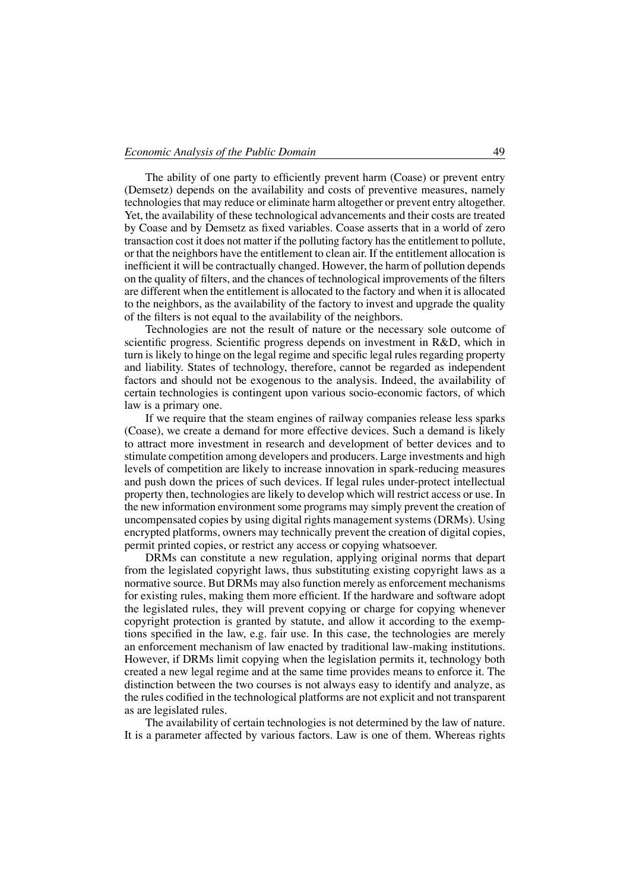The ability of one party to efficiently prevent harm (Coase) or prevent entry (Demsetz) depends on the availability and costs of preventive measures, namely technologies that may reduce or eliminate harm altogether or prevent entry altogether. Yet, the availability of these technological advancements and their costs are treated by Coase and by Demsetz as fixed variables. Coase asserts that in a world of zero transaction cost it does not matter if the polluting factory has the entitlement to pollute, or that the neighbors have the entitlement to clean air. If the entitlement allocation is inefficient it will be contractually changed. However, the harm of pollution depends on the quality of filters, and the chances of technological improvements of the filters are different when the entitlement is allocated to the factory and when it is allocated to the neighbors, as the availability of the factory to invest and upgrade the quality of the filters is not equal to the availability of the neighbors.

Technologies are not the result of nature or the necessary sole outcome of scientific progress. Scientific progress depends on investment in R&D, which in turn is likely to hinge on the legal regime and specific legal rules regarding property and liability. States of technology, therefore, cannot be regarded as independent factors and should not be exogenous to the analysis. Indeed, the availability of certain technologies is contingent upon various socio-economic factors, of which law is a primary one.

If we require that the steam engines of railway companies release less sparks (Coase), we create a demand for more effective devices. Such a demand is likely to attract more investment in research and development of better devices and to stimulate competition among developers and producers. Large investments and high levels of competition are likely to increase innovation in spark-reducing measures and push down the prices of such devices. If legal rules under-protect intellectual property then, technologies are likely to develop which will restrict access or use. In the new information environment some programs may simply prevent the creation of uncompensated copies by using digital rights management systems (DRMs). Using encrypted platforms, owners may technically prevent the creation of digital copies, permit printed copies, or restrict any access or copying whatsoever.

DRMs can constitute a new regulation, applying original norms that depart from the legislated copyright laws, thus substituting existing copyright laws as a normative source. But DRMs may also function merely as enforcement mechanisms for existing rules, making them more efficient. If the hardware and software adopt the legislated rules, they will prevent copying or charge for copying whenever copyright protection is granted by statute, and allow it according to the exemptions specified in the law, e.g. fair use. In this case, the technologies are merely an enforcement mechanism of law enacted by traditional law-making institutions. However, if DRMs limit copying when the legislation permits it, technology both created a new legal regime and at the same time provides means to enforce it. The distinction between the two courses is not always easy to identify and analyze, as the rules codified in the technological platforms are not explicit and not transparent as are legislated rules.

The availability of certain technologies is not determined by the law of nature. It is a parameter affected by various factors. Law is one of them. Whereas rights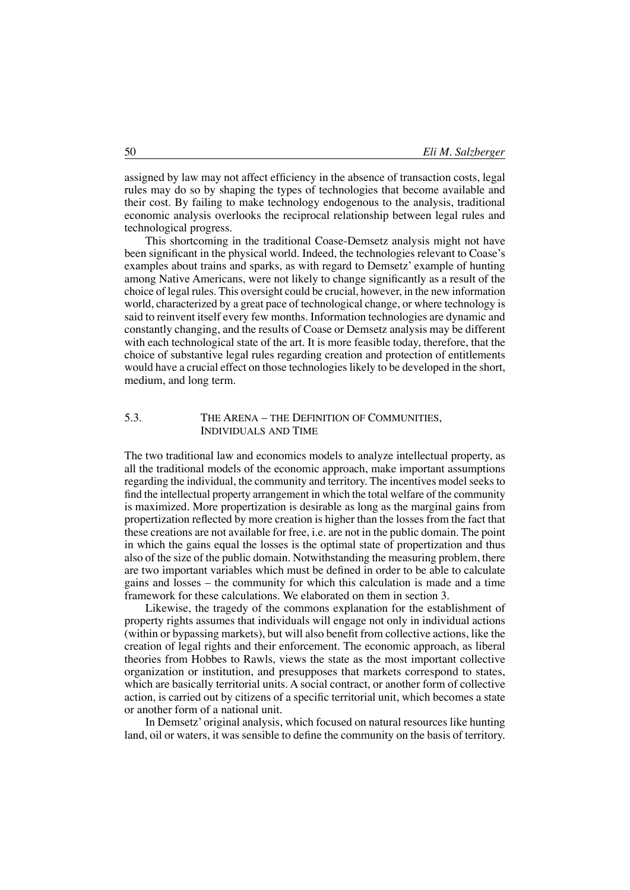assigned by law may not affect efficiency in the absence of transaction costs, legal rules may do so by shaping the types of technologies that become available and their cost. By failing to make technology endogenous to the analysis, traditional economic analysis overlooks the reciprocal relationship between legal rules and technological progress.

This shortcoming in the traditional Coase-Demsetz analysis might not have been significant in the physical world. Indeed, the technologies relevant to Coase's examples about trains and sparks, as with regard to Demsetz' example of hunting among Native Americans, were not likely to change significantly as a result of the choice of legal rules. This oversight could be crucial, however, in the new information world, characterized by a great pace of technological change, or where technology is said to reinvent itself every few months. Information technologies are dynamic and constantly changing, and the results of Coase or Demsetz analysis may be different with each technological state of the art. It is more feasible today, therefore, that the choice of substantive legal rules regarding creation and protection of entitlements would have a crucial effect on those technologies likely to be developed in the short, medium, and long term.

#### 5.3. The Arena – the Definition of Communities, Individuals and Time

The two traditional law and economics models to analyze intellectual property, as all the traditional models of the economic approach, make important assumptions regarding the individual, the community and territory. The incentives model seeks to find the intellectual property arrangement in which the total welfare of the community is maximized. More propertization is desirable as long as the marginal gains from propertization reflected by more creation is higher than the losses from the fact that these creations are not available for free, i.e. are not in the public domain. The point in which the gains equal the losses is the optimal state of propertization and thus also of the size of the public domain. Notwithstanding the measuring problem, there are two important variables which must be defined in order to be able to calculate gains and losses – the community for which this calculation is made and a time framework for these calculations. We elaborated on them in section 3.

Likewise, the tragedy of the commons explanation for the establishment of property rights assumes that individuals will engage not only in individual actions (within or bypassing markets), but will also benefit from collective actions, like the creation of legal rights and their enforcement. The economic approach, as liberal theories from Hobbes to Rawls, views the state as the most important collective organization or institution, and presupposes that markets correspond to states, which are basically territorial units. A social contract, or another form of collective action, is carried out by citizens of a specific territorial unit, which becomes a state or another form of a national unit.

In Demsetz' original analysis, which focused on natural resources like hunting land, oil or waters, it was sensible to define the community on the basis of territory.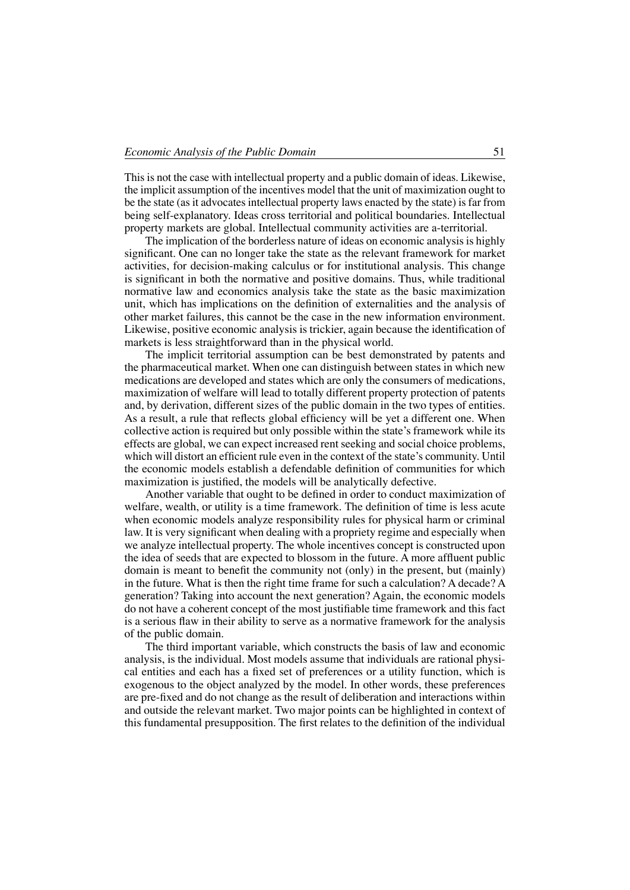This is not the case with intellectual property and a public domain of ideas. Likewise, the implicit assumption of the incentives model that the unit of maximization ought to be the state (as it advocates intellectual property laws enacted by the state) is far from being self-explanatory. Ideas cross territorial and political boundaries. Intellectual property markets are global. Intellectual community activities are a-territorial.

The implication of the borderless nature of ideas on economic analysis is highly significant. One can no longer take the state as the relevant framework for market activities, for decision-making calculus or for institutional analysis. This change is significant in both the normative and positive domains. Thus, while traditional normative law and economics analysis take the state as the basic maximization unit, which has implications on the definition of externalities and the analysis of other market failures, this cannot be the case in the new information environment. Likewise, positive economic analysis is trickier, again because the identification of markets is less straightforward than in the physical world.

The implicit territorial assumption can be best demonstrated by patents and the pharmaceutical market. When one can distinguish between states in which new medications are developed and states which are only the consumers of medications, maximization of welfare will lead to totally different property protection of patents and, by derivation, different sizes of the public domain in the two types of entities. As a result, a rule that reflects global efficiency will be yet a different one. When collective action is required but only possible within the state's framework while its effects are global, we can expect increased rent seeking and social choice problems, which will distort an efficient rule even in the context of the state's community. Until the economic models establish a defendable definition of communities for which maximization is justified, the models will be analytically defective.

Another variable that ought to be defined in order to conduct maximization of welfare, wealth, or utility is a time framework. The definition of time is less acute when economic models analyze responsibility rules for physical harm or criminal law. It is very significant when dealing with a propriety regime and especially when we analyze intellectual property. The whole incentives concept is constructed upon the idea of seeds that are expected to blossom in the future. A more affluent public domain is meant to benefit the community not (only) in the present, but (mainly) in the future. What is then the right time frame for such a calculation? A decade? A generation? Taking into account the next generation? Again, the economic models do not have a coherent concept of the most justifiable time framework and this fact is a serious flaw in their ability to serve as a normative framework for the analysis of the public domain.

The third important variable, which constructs the basis of law and economic analysis, is the individual. Most models assume that individuals are rational physical entities and each has a fixed set of preferences or a utility function, which is exogenous to the object analyzed by the model. In other words, these preferences are pre-fixed and do not change as the result of deliberation and interactions within and outside the relevant market. Two major points can be highlighted in context of this fundamental presupposition. The first relates to the definition of the individual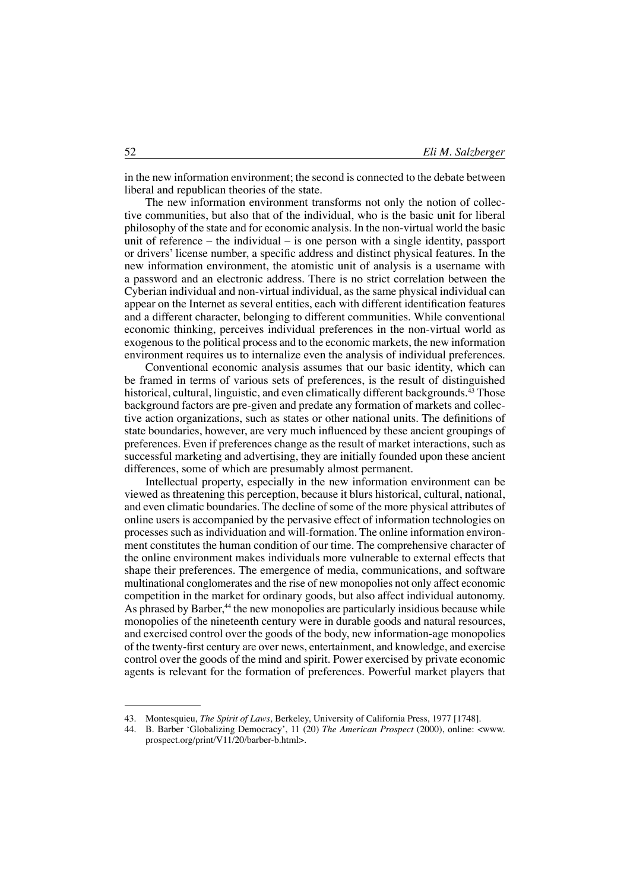in the new information environment; the second is connected to the debate between liberal and republican theories of the state.

The new information environment transforms not only the notion of collective communities, but also that of the individual, who is the basic unit for liberal philosophy of the state and for economic analysis. In the non-virtual world the basic unit of reference – the individual – is one person with a single identity, passport or drivers' license number, a specific address and distinct physical features. In the new information environment, the atomistic unit of analysis is a username with a password and an electronic address. There is no strict correlation between the Cyberian individual and non-virtual individual, as the same physical individual can appear on the Internet as several entities, each with different identification features and a different character, belonging to different communities. While conventional economic thinking, perceives individual preferences in the non-virtual world as exogenous to the political process and to the economic markets, the new information environment requires us to internalize even the analysis of individual preferences.

Conventional economic analysis assumes that our basic identity, which can be framed in terms of various sets of preferences, is the result of distinguished historical, cultural, linguistic, and even climatically different backgrounds.<sup>43</sup> Those background factors are pre-given and predate any formation of markets and collective action organizations, such as states or other national units. The definitions of state boundaries, however, are very much influenced by these ancient groupings of preferences. Even if preferences change as the result of market interactions, such as successful marketing and advertising, they are initially founded upon these ancient differences, some of which are presumably almost permanent.

Intellectual property, especially in the new information environment can be viewed as threatening this perception, because it blurs historical, cultural, national, and even climatic boundaries. The decline of some of the more physical attributes of online users is accompanied by the pervasive effect of information technologies on processes such as individuation and will-formation. The online information environment constitutes the human condition of our time. The comprehensive character of the online environment makes individuals more vulnerable to external effects that shape their preferences. The emergence of media, communications, and software multinational conglomerates and the rise of new monopolies not only affect economic competition in the market for ordinary goods, but also affect individual autonomy. As phrased by Barber,<sup>44</sup> the new monopolies are particularly insidious because while monopolies of the nineteenth century were in durable goods and natural resources, and exercised control over the goods of the body, new information-age monopolies of the twenty-first century are over news, entertainment, and knowledge, and exercise control over the goods of the mind and spirit. Power exercised by private economic agents is relevant for the formation of preferences. Powerful market players that

<sup>43.</sup> Montesquieu, *The Spirit of Laws*, Berkeley, University of California Press, 1977 [1748].<br>44. B. Barber 'Globalizing Democracy', 11.(20) *The American Prospect* (2000), online:

<sup>44.</sup> B. Barber 'Globalizing Democracy', 11 (20) *The American Prospect* (2000), online: <www. prospect.org/print/V11/20/barber-b.html>.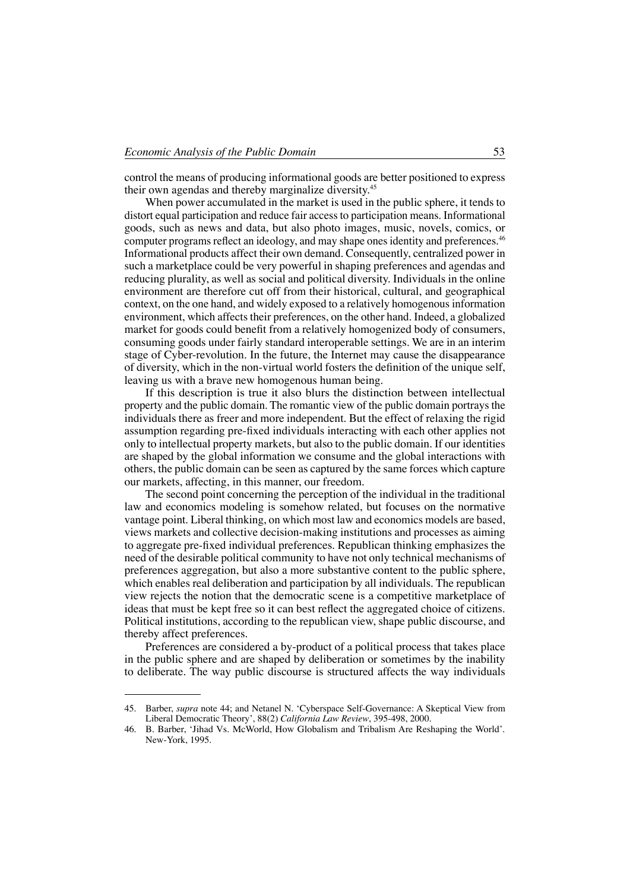control the means of producing informational goods are better positioned to express their own agendas and thereby marginalize diversity.<sup>45</sup>

When power accumulated in the market is used in the public sphere, it tends to distort equal participation and reduce fair access to participation means. Informational goods, such as news and data, but also photo images, music, novels, comics, or computer programs reflect an ideology, and may shape ones identity and preferences.<sup>46</sup> Informational products affect their own demand. Consequently, centralized power in such a marketplace could be very powerful in shaping preferences and agendas and reducing plurality, as well as social and political diversity. Individuals in the online environment are therefore cut off from their historical, cultural, and geographical context, on the one hand, and widely exposed to a relatively homogenous information environment, which affects their preferences, on the other hand. Indeed, a globalized market for goods could benefit from a relatively homogenized body of consumers, consuming goods under fairly standard interoperable settings. We are in an interim stage of Cyber-revolution. In the future, the Internet may cause the disappearance of diversity, which in the non-virtual world fosters the definition of the unique self, leaving us with a brave new homogenous human being.

If this description is true it also blurs the distinction between intellectual property and the public domain. The romantic view of the public domain portrays the individuals there as freer and more independent. But the effect of relaxing the rigid assumption regarding pre-fixed individuals interacting with each other applies not only to intellectual property markets, but also to the public domain. If our identities are shaped by the global information we consume and the global interactions with others, the public domain can be seen as captured by the same forces which capture our markets, affecting, in this manner, our freedom.

The second point concerning the perception of the individual in the traditional law and economics modeling is somehow related, but focuses on the normative vantage point. Liberal thinking, on which most law and economics models are based, views markets and collective decision-making institutions and processes as aiming to aggregate pre-fixed individual preferences. Republican thinking emphasizes the need of the desirable political community to have not only technical mechanisms of preferences aggregation, but also a more substantive content to the public sphere, which enables real deliberation and participation by all individuals. The republican view rejects the notion that the democratic scene is a competitive marketplace of ideas that must be kept free so it can best reflect the aggregated choice of citizens. Political institutions, according to the republican view, shape public discourse, and thereby affect preferences.

Preferences are considered a by-product of a political process that takes place in the public sphere and are shaped by deliberation or sometimes by the inability to deliberate. The way public discourse is structured affects the way individuals

<sup>45.</sup> Barber, *supra* note 44; and Netanel N. 'Cyberspace Self-Governance: A Skeptical View from Liberal Democratic Theory', 88(2) *California Law Review*, 395-498, 2000.

<sup>46.</sup> B. Barber, 'Jihad Vs. McWorld, How Globalism and Tribalism Are Reshaping the World'. New-York, 1995.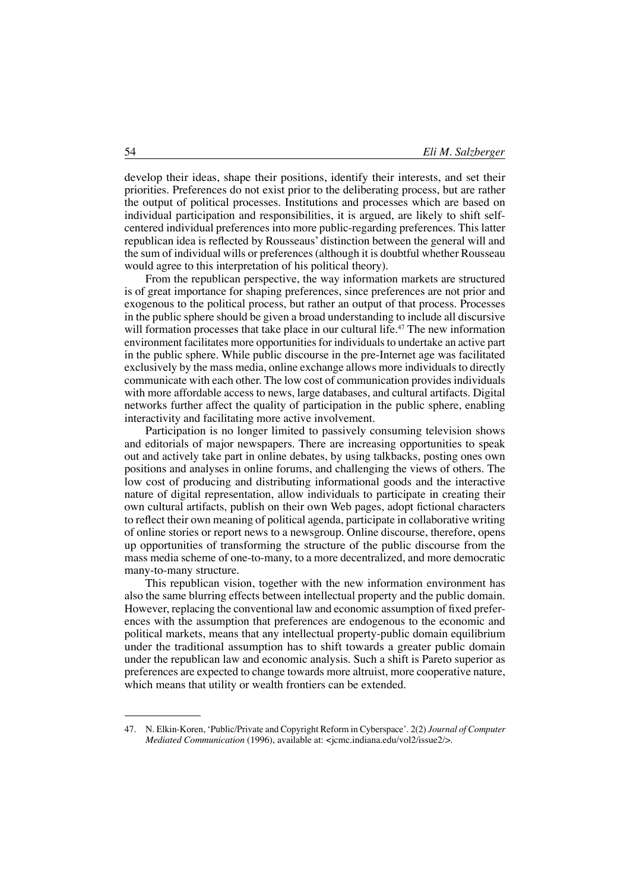develop their ideas, shape their positions, identify their interests, and set their priorities. Preferences do not exist prior to the deliberating process, but are rather the output of political processes. Institutions and processes which are based on individual participation and responsibilities, it is argued, are likely to shift selfcentered individual preferences into more public-regarding preferences. This latter republican idea is reflected by Rousseaus' distinction between the general will and the sum of individual wills or preferences (although it is doubtful whether Rousseau would agree to this interpretation of his political theory).

From the republican perspective, the way information markets are structured is of great importance for shaping preferences, since preferences are not prior and exogenous to the political process, but rather an output of that process. Processes in the public sphere should be given a broad understanding to include all discursive will formation processes that take place in our cultural life.<sup>47</sup> The new information environment facilitates more opportunities for individuals to undertake an active part in the public sphere. While public discourse in the pre-Internet age was facilitated exclusively by the mass media, online exchange allows more individuals to directly communicate with each other. The low cost of communication provides individuals with more affordable access to news, large databases, and cultural artifacts. Digital networks further affect the quality of participation in the public sphere, enabling interactivity and facilitating more active involvement.

Participation is no longer limited to passively consuming television shows and editorials of major newspapers. There are increasing opportunities to speak out and actively take part in online debates, by using talkbacks, posting ones own positions and analyses in online forums, and challenging the views of others. The low cost of producing and distributing informational goods and the interactive nature of digital representation, allow individuals to participate in creating their own cultural artifacts, publish on their own Web pages, adopt fictional characters to reflect their own meaning of political agenda, participate in collaborative writing of online stories or report news to a newsgroup. Online discourse, therefore, opens up opportunities of transforming the structure of the public discourse from the mass media scheme of one-to-many, to a more decentralized, and more democratic many-to-many structure.

This republican vision, together with the new information environment has also the same blurring effects between intellectual property and the public domain. However, replacing the conventional law and economic assumption of fixed preferences with the assumption that preferences are endogenous to the economic and political markets, means that any intellectual property-public domain equilibrium under the traditional assumption has to shift towards a greater public domain under the republican law and economic analysis. Such a shift is Pareto superior as preferences are expected to change towards more altruist, more cooperative nature, which means that utility or wealth frontiers can be extended.

<sup>47.</sup> N. Elkin-Koren, 'Public/Private and Copyright Reform in Cyberspace'. 2(2) *Journal of Computer Mediated Communication* (1996), available at: <jcmc.indiana.edu/vol2/issue2/>.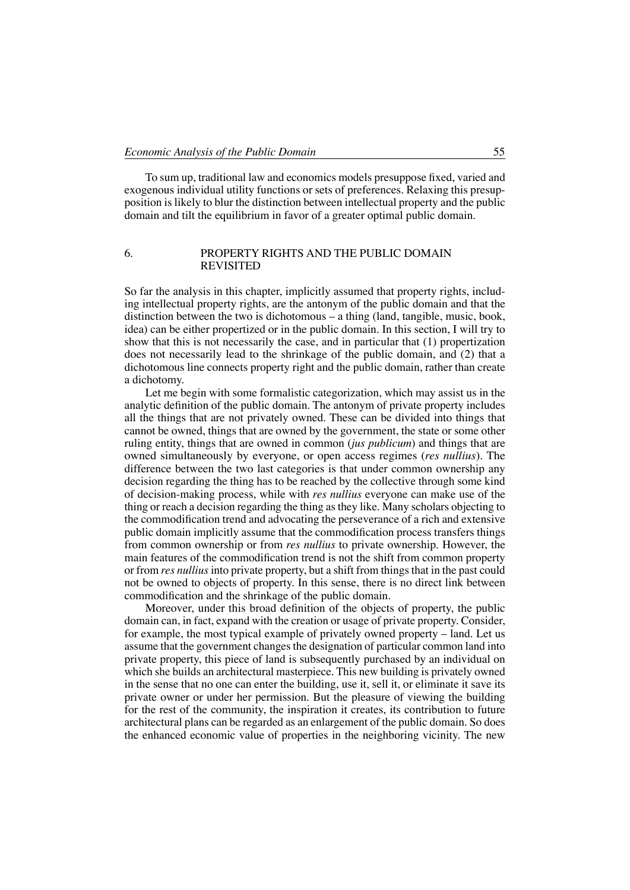To sum up, traditional law and economics models presuppose fixed, varied and exogenous individual utility functions or sets of preferences. Relaxing this presupposition is likely to blur the distinction between intellectual property and the public domain and tilt the equilibrium in favor of a greater optimal public domain.

## 6. Property rights and the public domain **REVISITED**

So far the analysis in this chapter, implicitly assumed that property rights, including intellectual property rights, are the antonym of the public domain and that the distinction between the two is dichotomous – a thing (land, tangible, music, book, idea) can be either propertized or in the public domain. In this section, I will try to show that this is not necessarily the case, and in particular that (1) propertization does not necessarily lead to the shrinkage of the public domain, and (2) that a dichotomous line connects property right and the public domain, rather than create a dichotomy.

Let me begin with some formalistic categorization, which may assist us in the analytic definition of the public domain. The antonym of private property includes all the things that are not privately owned. These can be divided into things that cannot be owned, things that are owned by the government, the state or some other ruling entity, things that are owned in common (*jus publicum*) and things that are owned simultaneously by everyone, or open access regimes (*res nullius*). The difference between the two last categories is that under common ownership any decision regarding the thing has to be reached by the collective through some kind of decision-making process, while with *res nullius* everyone can make use of the thing or reach a decision regarding the thing as they like. Many scholars objecting to the commodification trend and advocating the perseverance of a rich and extensive public domain implicitly assume that the commodification process transfers things from common ownership or from *res nullius* to private ownership. However, the main features of the commodification trend is not the shift from common property or from *res nullius* into private property, but a shift from things that in the past could not be owned to objects of property. In this sense, there is no direct link between commodification and the shrinkage of the public domain.

Moreover, under this broad definition of the objects of property, the public domain can, in fact, expand with the creation or usage of private property. Consider, for example, the most typical example of privately owned property – land. Let us assume that the government changes the designation of particular common land into private property, this piece of land is subsequently purchased by an individual on which she builds an architectural masterpiece. This new building is privately owned in the sense that no one can enter the building, use it, sell it, or eliminate it save its private owner or under her permission. But the pleasure of viewing the building for the rest of the community, the inspiration it creates, its contribution to future architectural plans can be regarded as an enlargement of the public domain. So does the enhanced economic value of properties in the neighboring vicinity. The new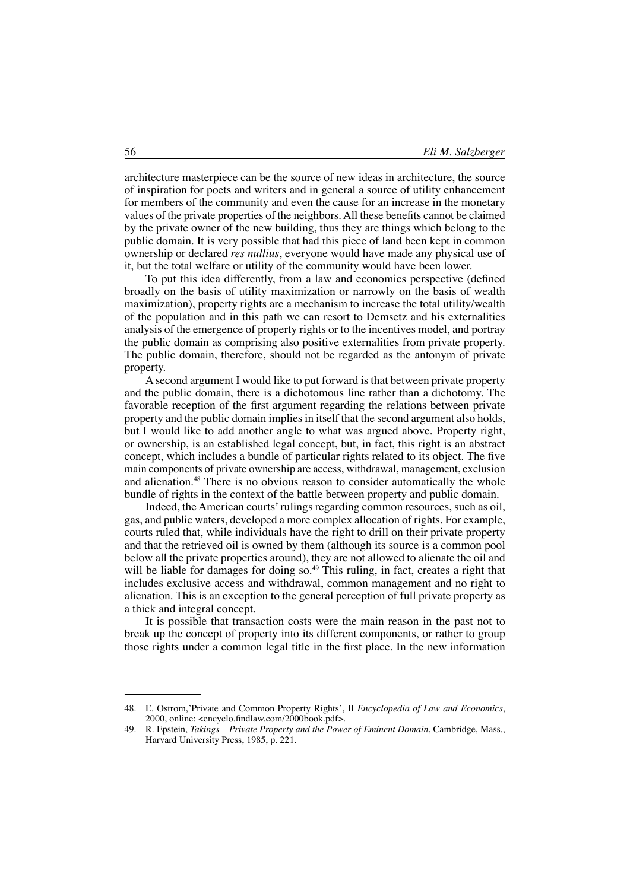architecture masterpiece can be the source of new ideas in architecture, the source of inspiration for poets and writers and in general a source of utility enhancement for members of the community and even the cause for an increase in the monetary values of the private properties of the neighbors.All these benefits cannot be claimed by the private owner of the new building, thus they are things which belong to the public domain. It is very possible that had this piece of land been kept in common ownership or declared *res nullius*, everyone would have made any physical use of it, but the total welfare or utility of the community would have been lower.

To put this idea differently, from a law and economics perspective (defined broadly on the basis of utility maximization or narrowly on the basis of wealth maximization), property rights are a mechanism to increase the total utility/wealth of the population and in this path we can resort to Demsetz and his externalities analysis of the emergence of property rights or to the incentives model, and portray the public domain as comprising also positive externalities from private property. The public domain, therefore, should not be regarded as the antonym of private property.

A second argument I would like to put forward is that between private property and the public domain, there is a dichotomous line rather than a dichotomy. The favorable reception of the first argument regarding the relations between private property and the public domain implies in itself that the second argument also holds, but I would like to add another angle to what was argued above. Property right, or ownership, is an established legal concept, but, in fact, this right is an abstract concept, which includes a bundle of particular rights related to its object. The five main components of private ownership are access, withdrawal, management, exclusion and alienation.48 There is no obvious reason to consider automatically the whole bundle of rights in the context of the battle between property and public domain.

Indeed, the American courts'rulings regarding common resources, such as oil, gas, and public waters, developed a more complex allocation of rights. For example, courts ruled that, while individuals have the right to drill on their private property and that the retrieved oil is owned by them (although its source is a common pool below all the private properties around), they are not allowed to alienate the oil and will be liable for damages for doing so.<sup>49</sup> This ruling, in fact, creates a right that includes exclusive access and withdrawal, common management and no right to alienation. This is an exception to the general perception of full private property as a thick and integral concept.

It is possible that transaction costs were the main reason in the past not to break up the concept of property into its different components, or rather to group those rights under a common legal title in the first place. In the new information

<sup>48.</sup> E. Ostrom,'Private and Common Property Rights', II *Encyclopedia of Law and Economics*, 2000, online: <encyclo.findlaw.com/2000book.pdf>.

<sup>49.</sup> R. Epstein, *Takings – Private Property and the Power of Eminent Domain*, Cambridge, Mass., Harvard University Press, 1985, p. 221.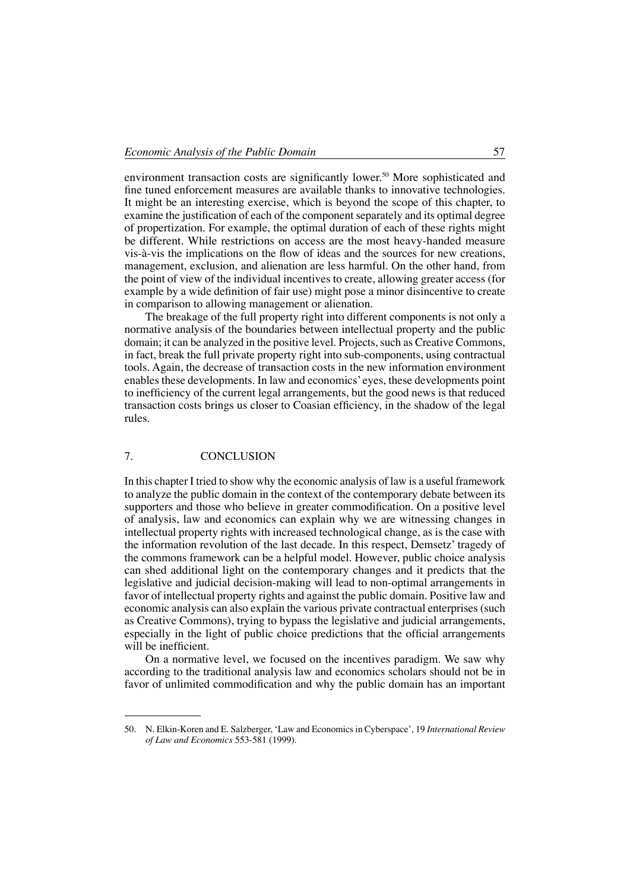environment transaction costs are significantly lower.<sup>50</sup> More sophisticated and fine tuned enforcement measures are available thanks to innovative technologies. It might be an interesting exercise, which is beyond the scope of this chapter, to examine the justification of each of the component separately and its optimal degree of propertization. For example, the optimal duration of each of these rights might be different. While restrictions on access are the most heavy-handed measure vis-à-vis the implications on the flow of ideas and the sources for new creations, management, exclusion, and alienation are less harmful. On the other hand, from the point of view of the individual incentives to create, allowing greater access (for example by a wide definition of fair use) might pose a minor disincentive to create in comparison to allowing management or alienation.

The breakage of the full property right into different components is not only a normative analysis of the boundaries between intellectual property and the public domain; it can be analyzed in the positive level. Projects, such as Creative Commons, in fact, break the full private property right into sub-components, using contractual tools. Again, the decrease of transaction costs in the new information environment enables these developments. In law and economics' eyes, these developments point to inefficiency of the current legal arrangements, but the good news is that reduced transaction costs brings us closer to Coasian efficiency, in the shadow of the legal rules.

## 7. CONCLUSION

In this chapter I tried to show why the economic analysis of law is a useful framework to analyze the public domain in the context of the contemporary debate between its supporters and those who believe in greater commodification. On a positive level of analysis, law and economics can explain why we are witnessing changes in intellectual property rights with increased technological change, as is the case with the information revolution of the last decade. In this respect, Demsetz' tragedy of the commons framework can be a helpful model. However, public choice analysis can shed additional light on the contemporary changes and it predicts that the legislative and judicial decision-making will lead to non-optimal arrangements in favor of intellectual property rights and against the public domain. Positive law and economic analysis can also explain the various private contractual enterprises (such as Creative Commons), trying to bypass the legislative and judicial arrangements, especially in the light of public choice predictions that the official arrangements will be inefficient.

On a normative level, we focused on the incentives paradigm. We saw why according to the traditional analysis law and economics scholars should not be in favor of unlimited commodification and why the public domain has an important

<sup>50.</sup> N. Elkin-Koren and E. Salzberger, 'Law and Economics in Cyberspace', 19 *International Review of Law and Economics* 553-581 (1999).